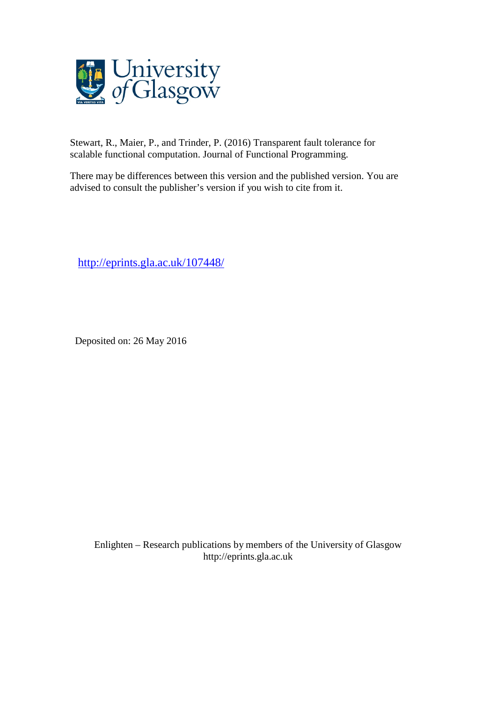

Stewart, R., Maier, P., and Trinder, P. (2016) Transparent fault tolerance for scalable functional computation. Journal of Functional Programming.

There may be differences between this version and the published version. You are advised to consult the publisher's version if you wish to cite from it.

<http://eprints.gla.ac.uk/107448/>

Deposited on: 26 May 2016

Enlighten – Research publications by members of the University of Glasgo[w](http://eprints.gla.ac.uk/) [http://eprints.gla.ac.uk](http://eprints.gla.ac.uk/)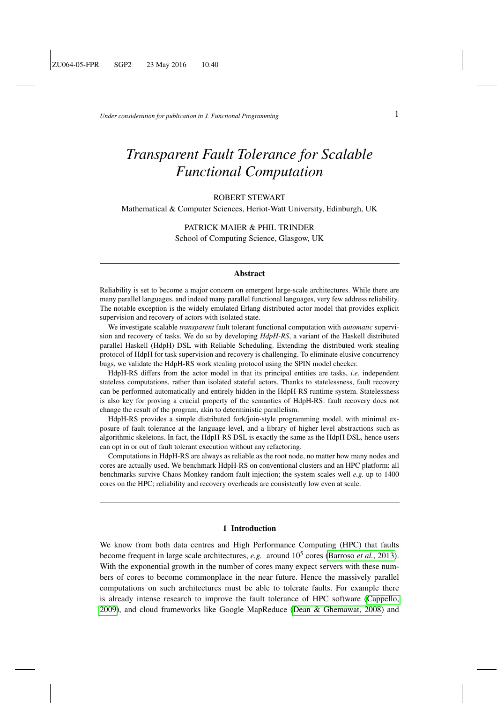*Under consideration for publication in J. Functional Programming*  $1$ 

# *Transparent Fault Tolerance for Scalable Functional Computation*

# ROBERT STEWART

Mathematical & Computer Sciences, Heriot-Watt University, Edinburgh, UK

PATRICK MAIER & PHIL TRINDER School of Computing Science, Glasgow, UK

#### Abstract

Reliability is set to become a major concern on emergent large-scale architectures. While there are many parallel languages, and indeed many parallel functional languages, very few address reliability. The notable exception is the widely emulated Erlang distributed actor model that provides explicit supervision and recovery of actors with isolated state.

We investigate scalable *transparent* fault tolerant functional computation with *automatic* supervision and recovery of tasks. We do so by developing *HdpH-RS*, a variant of the Haskell distributed parallel Haskell (HdpH) DSL with Reliable Scheduling. Extending the distributed work stealing protocol of HdpH for task supervision and recovery is challenging. To eliminate elusive concurrency bugs, we validate the HdpH-RS work stealing protocol using the SPIN model checker.

HdpH-RS differs from the actor model in that its principal entities are tasks, *i.e.* independent stateless computations, rather than isolated stateful actors. Thanks to statelessness, fault recovery can be performed automatically and entirely hidden in the HdpH-RS runtime system. Statelessness is also key for proving a crucial property of the semantics of HdpH-RS: fault recovery does not change the result of the program, akin to deterministic parallelism.

HdpH-RS provides a simple distributed fork/join-style programming model, with minimal exposure of fault tolerance at the language level, and a library of higher level abstractions such as algorithmic skeletons. In fact, the HdpH-RS DSL is exactly the same as the HdpH DSL, hence users can opt in or out of fault tolerant execution without any refactoring.

Computations in HdpH-RS are always as reliable as the root node, no matter how many nodes and cores are actually used. We benchmark HdpH-RS on conventional clusters and an HPC platform: all benchmarks survive Chaos Monkey random fault injection; the system scales well *e.g.* up to 1400 cores on the HPC; reliability and recovery overheads are consistently low even at scale.

# 1 Introduction

<span id="page-1-0"></span>We know from both data centres and High Performance Computing (HPC) that faults become frequent in large scale architectures, *e.g.* around  $10^5$  cores [\(Barroso](#page-35-0) *et al.*, 2013). With the exponential growth in the number of cores many expect servers with these numbers of cores to become commonplace in the near future. Hence the massively parallel computations on such architectures must be able to tolerate faults. For example there is already intense research to improve the fault tolerance of HPC software [\(Cappello,](#page-35-1) [2009\)](#page-35-1), and cloud frameworks like Google MapReduce [\(Dean & Ghemawat, 2008\)](#page-35-2) and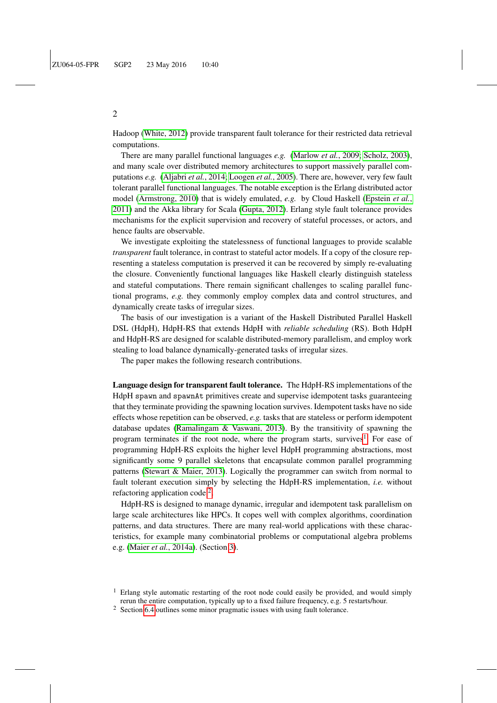Hadoop [\(White, 2012\)](#page-38-0) provide transparent fault tolerance for their restricted data retrieval computations.

There are many parallel functional languages *e.g.* [\(Marlow](#page-37-0) *et al.*, 2009; [Scholz, 2003\)](#page-37-1), and many scale over distributed memory architectures to support massively parallel computations *e.g.* [\(Aljabri](#page-35-3) *et al.*, 2014; [Loogen](#page-36-0) *et al.*, 2005). There are, however, very few fault tolerant parallel functional languages. The notable exception is the Erlang distributed actor model [\(Armstrong, 2010\)](#page-35-4) that is widely emulated, *e.g.* by Cloud Haskell [\(Epstein](#page-36-1) *et al.*, [2011\)](#page-36-1) and the Akka library for Scala [\(Gupta, 2012\)](#page-36-2). Erlang style fault tolerance provides mechanisms for the explicit supervision and recovery of stateful processes, or actors, and hence faults are observable.

We investigate exploiting the statelessness of functional languages to provide scalable *transparent* fault tolerance, in contrast to stateful actor models. If a copy of the closure representing a stateless computation is preserved it can be recovered by simply re-evaluating the closure. Conveniently functional languages like Haskell clearly distinguish stateless and stateful computations. There remain significant challenges to scaling parallel functional programs, *e.g.* they commonly employ complex data and control structures, and dynamically create tasks of irregular sizes.

The basis of our investigation is a variant of the Haskell Distributed Parallel Haskell DSL (HdpH), HdpH-RS that extends HdpH with *reliable scheduling* (RS). Both HdpH and HdpH-RS are designed for scalable distributed-memory parallelism, and employ work stealing to load balance dynamically-generated tasks of irregular sizes.

The paper makes the following research contributions.

Language design for transparent fault tolerance. The HdpH-RS implementations of the HdpH spawn and spawnAt primitives create and supervise idempotent tasks guaranteeing that they terminate providing the spawning location survives. Idempotent tasks have no side effects whose repetition can be observed, *e.g.* tasks that are stateless or perform idempotent database updates [\(Ramalingam & Vaswani, 2013\)](#page-37-2). By the transitivity of spawning the program terminates if the root node, where the program starts, survives<sup>[1](#page-2-0)</sup>. For ease of programming HdpH-RS exploits the higher level HdpH programming abstractions, most significantly some 9 parallel skeletons that encapsulate common parallel programming patterns [\(Stewart & Maier, 2013\)](#page-37-3). Logically the programmer can switch from normal to fault tolerant execution simply by selecting the HdpH-RS implementation, *i.e.* without refactoring application code<sup>[2](#page-2-1)</sup>.

HdpH-RS is designed to manage dynamic, irregular and idempotent task parallelism on large scale architectures like HPCs. It copes well with complex algorithms, coordination patterns, and data structures. There are many real-world applications with these characteristics, for example many combinatorial problems or computational algebra problems e.g. (Maier *et al.*[, 2014a\)](#page-36-3). (Section [3\)](#page-6-0).

<span id="page-2-0"></span> $<sup>1</sup>$  Erlang style automatic restarting of the root node could easily be provided, and would simply</sup> rerun the entire computation, typically up to a fixed failure frequency, e.g. 5 restarts/hour.

<span id="page-2-1"></span><sup>2</sup> Section [6.4](#page-29-0) outlines some minor pragmatic issues with using fault tolerance.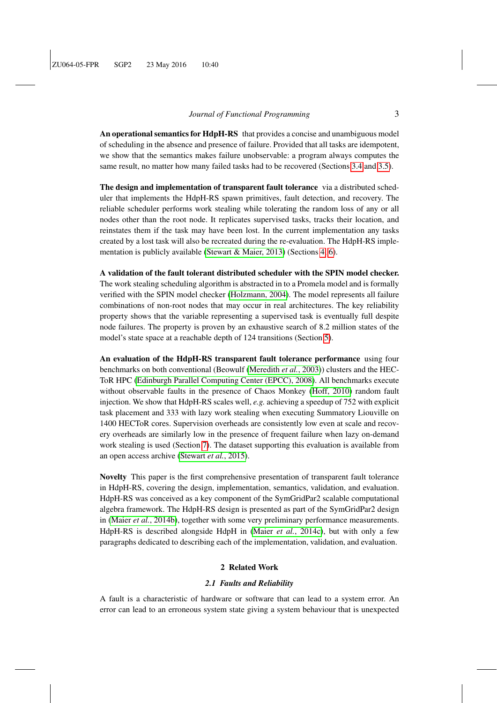An operational semantics for HdpH-RS that provides a concise and unambiguous model of scheduling in the absence and presence of failure. Provided that all tasks are idempotent, we show that the semantics makes failure unobservable: a program always computes the same result, no matter how many failed tasks had to be recovered (Sections [3.4](#page-9-0) and [3.5\)](#page-12-0).

The design and implementation of transparent fault tolerance via a distributed scheduler that implements the HdpH-RS spawn primitives, fault detection, and recovery. The reliable scheduler performs work stealing while tolerating the random loss of any or all nodes other than the root node. It replicates supervised tasks, tracks their location, and reinstates them if the task may have been lost. In the current implementation any tasks created by a lost task will also be recreated during the re-evaluation. The HdpH-RS implementation is publicly available [\(Stewart & Maier, 2013\)](#page-37-3) (Sections [4,](#page-15-0) [6\)](#page-26-0).

A validation of the fault tolerant distributed scheduler with the SPIN model checker. The work stealing scheduling algorithm is abstracted in to a Promela model and is formally verified with the SPIN model checker [\(Holzmann, 2004\)](#page-36-4). The model represents all failure combinations of non-root nodes that may occur in real architectures. The key reliability property shows that the variable representing a supervised task is eventually full despite node failures. The property is proven by an exhaustive search of 8.2 million states of the model's state space at a reachable depth of 124 transitions (Section [5\)](#page-20-0).

An evaluation of the HdpH-RS transparent fault tolerance performance using four benchmarks on both conventional (Beowulf [\(Meredith](#page-37-4) *et al.*, 2003)) clusters and the HEC-ToR HPC [\(Edinburgh Parallel Computing Center \(EPCC\), 2008\)](#page-36-5). All benchmarks execute without observable faults in the presence of Chaos Monkey [\(Hoff, 2010\)](#page-36-6) random fault injection. We show that HdpH-RS scales well, *e.g.* achieving a speedup of 752 with explicit task placement and 333 with lazy work stealing when executing Summatory Liouville on 1400 HECToR cores. Supervision overheads are consistently low even at scale and recovery overheads are similarly low in the presence of frequent failure when lazy on-demand work stealing is used (Section [7\)](#page-29-1). The dataset supporting this evaluation is available from an open access archive [\(Stewart](#page-38-1) *et al.*, 2015).

Novelty This paper is the first comprehensive presentation of transparent fault tolerance in HdpH-RS, covering the design, implementation, semantics, validation, and evaluation. HdpH-RS was conceived as a key component of the SymGridPar2 scalable computational algebra framework. The HdpH-RS design is presented as part of the SymGridPar2 design in (Maier *et al.*[, 2014b\)](#page-37-5), together with some very preliminary performance measurements. HdpH-RS is described alongside HdpH in (Maier *et al.*[, 2014c\)](#page-37-6), but with only a few paragraphs dedicated to describing each of the implementation, validation, and evaluation.

#### 2 Related Work

#### *2.1 Faults and Reliability*

<span id="page-3-0"></span>A fault is a characteristic of hardware or software that can lead to a system error. An error can lead to an erroneous system state giving a system behaviour that is unexpected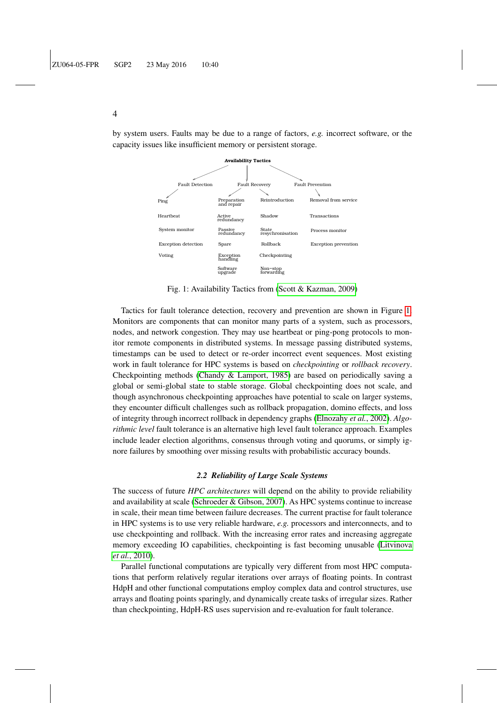<span id="page-4-0"></span>by system users. Faults may be due to a range of factors, *e.g.* incorrect software, or the capacity issues like insufficient memory or persistent storage.



Fig. 1: Availability Tactics from [\(Scott & Kazman, 2009\)](#page-37-7)

Tactics for fault tolerance detection, recovery and prevention are shown in Figure [1.](#page-4-0) Monitors are components that can monitor many parts of a system, such as processors, nodes, and network congestion. They may use heartbeat or ping-pong protocols to monitor remote components in distributed systems. In message passing distributed systems, timestamps can be used to detect or re-order incorrect event sequences. Most existing work in fault tolerance for HPC systems is based on *checkpointing* or *rollback recovery*. Checkpointing methods [\(Chandy & Lamport, 1985\)](#page-35-5) are based on periodically saving a global or semi-global state to stable storage. Global checkpointing does not scale, and though asynchronous checkpointing approaches have potential to scale on larger systems, they encounter difficult challenges such as rollback propagation, domino effects, and loss of integrity through incorrect rollback in dependency graphs [\(Elnozahy](#page-36-7) *et al.*, 2002). *Algorithmic level* fault tolerance is an alternative high level fault tolerance approach. Examples include leader election algorithms, consensus through voting and quorums, or simply ignore failures by smoothing over missing results with probabilistic accuracy bounds.

#### *2.2 Reliability of Large Scale Systems*

The success of future *HPC architectures* will depend on the ability to provide reliability and availability at scale [\(Schroeder & Gibson, 2007\)](#page-37-8). As HPC systems continue to increase in scale, their mean time between failure decreases. The current practise for fault tolerance in HPC systems is to use very reliable hardware, *e.g.* processors and interconnects, and to use checkpointing and rollback. With the increasing error rates and increasing aggregate memory exceeding IO capabilities, checkpointing is fast becoming unusable [\(Litvinova](#page-36-8) *et al.*[, 2010\)](#page-36-8).

Parallel functional computations are typically very different from most HPC computations that perform relatively regular iterations over arrays of floating points. In contrast HdpH and other functional computations employ complex data and control structures, use arrays and floating points sparingly, and dynamically create tasks of irregular sizes. Rather than checkpointing, HdpH-RS uses supervision and re-evaluation for fault tolerance.

4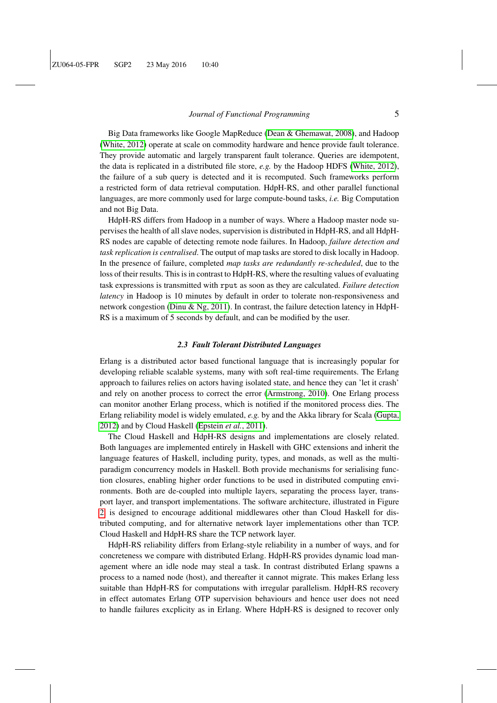Big Data frameworks like Google MapReduce [\(Dean & Ghemawat, 2008\)](#page-35-2), and Hadoop [\(White, 2012\)](#page-38-0) operate at scale on commodity hardware and hence provide fault tolerance. They provide automatic and largely transparent fault tolerance. Queries are idempotent, the data is replicated in a distributed file store, *e.g.* by the Hadoop HDFS [\(White, 2012\)](#page-38-0), the failure of a sub query is detected and it is recomputed. Such frameworks perform a restricted form of data retrieval computation. HdpH-RS, and other parallel functional languages, are more commonly used for large compute-bound tasks, *i.e.* Big Computation and not Big Data.

HdpH-RS differs from Hadoop in a number of ways. Where a Hadoop master node supervises the health of all slave nodes, supervision is distributed in HdpH-RS, and all HdpH-RS nodes are capable of detecting remote node failures. In Hadoop, *failure detection and task replication is centralised*. The output of map tasks are stored to disk locally in Hadoop. In the presence of failure, completed *map tasks are redundantly re-scheduled*, due to the loss of their results. This is in contrast to HdpH-RS, where the resulting values of evaluating task expressions is transmitted with rput as soon as they are calculated. *Failure detection latency* in Hadoop is 10 minutes by default in order to tolerate non-responsiveness and network congestion [\(Dinu & Ng, 2011\)](#page-36-9). In contrast, the failure detection latency in HdpH-RS is a maximum of 5 seconds by default, and can be modified by the user.

## *2.3 Fault Tolerant Distributed Languages*

Erlang is a distributed actor based functional language that is increasingly popular for developing reliable scalable systems, many with soft real-time requirements. The Erlang approach to failures relies on actors having isolated state, and hence they can 'let it crash' and rely on another process to correct the error [\(Armstrong, 2010\)](#page-35-4). One Erlang process can monitor another Erlang process, which is notified if the monitored process dies. The Erlang reliability model is widely emulated, *e.g.* by and the Akka library for Scala [\(Gupta,](#page-36-2) [2012\)](#page-36-2) and by Cloud Haskell [\(Epstein](#page-36-1) *et al.*, 2011).

The Cloud Haskell and HdpH-RS designs and implementations are closely related. Both languages are implemented entirely in Haskell with GHC extensions and inherit the language features of Haskell, including purity, types, and monads, as well as the multiparadigm concurrency models in Haskell. Both provide mechanisms for serialising function closures, enabling higher order functions to be used in distributed computing environments. Both are de-coupled into multiple layers, separating the process layer, transport layer, and transport implementations. The software architecture, illustrated in Figure [2,](#page-6-1) is designed to encourage additional middlewares other than Cloud Haskell for distributed computing, and for alternative network layer implementations other than TCP. Cloud Haskell and HdpH-RS share the TCP network layer.

HdpH-RS reliability differs from Erlang-style reliability in a number of ways, and for concreteness we compare with distributed Erlang. HdpH-RS provides dynamic load management where an idle node may steal a task. In contrast distributed Erlang spawns a process to a named node (host), and thereafter it cannot migrate. This makes Erlang less suitable than HdpH-RS for computations with irregular parallelism. HdpH-RS recovery in effect automates Erlang OTP supervision behaviours and hence user does not need to handle failures excplicity as in Erlang. Where HdpH-RS is designed to recover only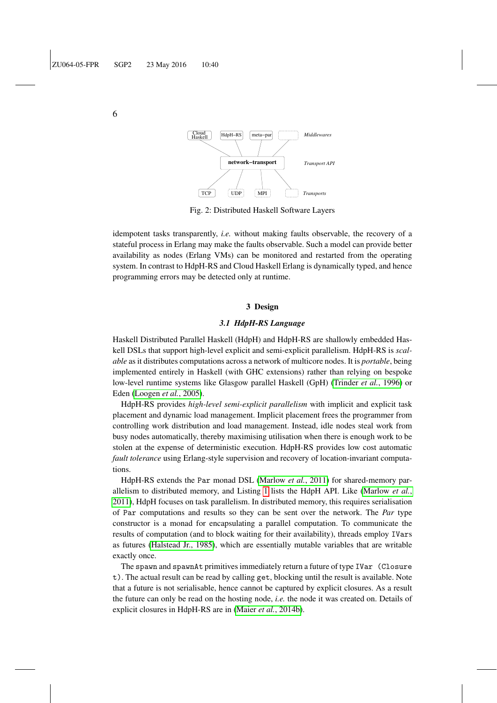<span id="page-6-1"></span>

Fig. 2: Distributed Haskell Software Layers

idempotent tasks transparently, *i.e.* without making faults observable, the recovery of a stateful process in Erlang may make the faults observable. Such a model can provide better availability as nodes (Erlang VMs) can be monitored and restarted from the operating system. In contrast to HdpH-RS and Cloud Haskell Erlang is dynamically typed, and hence programming errors may be detected only at runtime.

# 3 Design

# *3.1 HdpH-RS Language*

<span id="page-6-2"></span><span id="page-6-0"></span>Haskell Distributed Parallel Haskell (HdpH) and HdpH-RS are shallowly embedded Haskell DSLs that support high-level explicit and semi-explicit parallelism. HdpH-RS is *scalable* as it distributes computations across a network of multicore nodes. It is *portable*, being implemented entirely in Haskell (with GHC extensions) rather than relying on bespoke low-level runtime systems like Glasgow parallel Haskell (GpH) [\(Trinder](#page-38-2) *et al.*, 1996) or Eden [\(Loogen](#page-36-0) *et al.*, 2005).

HdpH-RS provides *high-level semi-explicit parallelism* with implicit and explicit task placement and dynamic load management. Implicit placement frees the programmer from controlling work distribution and load management. Instead, idle nodes steal work from busy nodes automatically, thereby maximising utilisation when there is enough work to be stolen at the expense of deterministic execution. HdpH-RS provides low cost automatic *fault tolerance* using Erlang-style supervision and recovery of location-invariant computations.

HdpH-RS extends the Par monad DSL [\(Marlow](#page-37-9) *et al.*, 2011) for shared-memory parallelism to distributed memory, and Listing [1](#page-7-0) lists the HdpH API. Like [\(Marlow](#page-37-9) *et al.*, [2011\)](#page-37-9), HdpH focuses on task parallelism. In distributed memory, this requires serialisation of Par computations and results so they can be sent over the network. The *Par* type constructor is a monad for encapsulating a parallel computation. To communicate the results of computation (and to block waiting for their availability), threads employ IVars as futures [\(Halstead Jr., 1985\)](#page-36-10), which are essentially mutable variables that are writable exactly once.

The spawn and spawnAt primitives immediately return a future of type IVar (Closure t). The actual result can be read by calling get, blocking until the result is available. Note that a future is not serialisable, hence cannot be captured by explicit closures. As a result the future can only be read on the hosting node, *i.e.* the node it was created on. Details of explicit closures in HdpH-RS are in (Maier *et al.*[, 2014b\)](#page-37-5).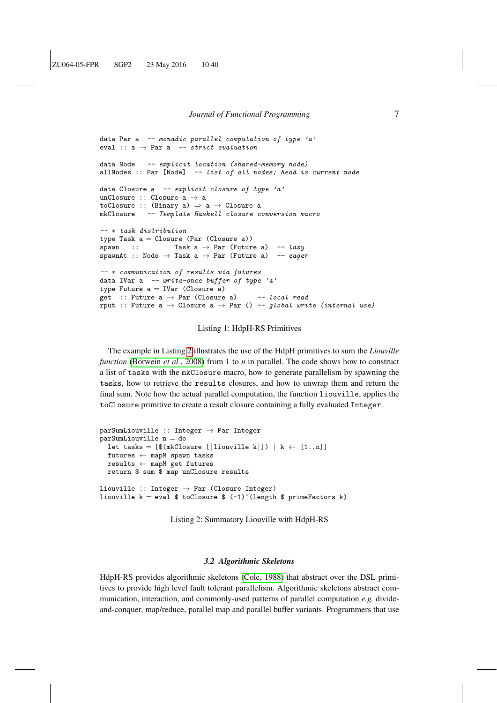```
Journal of Functional Programming 7
```

```
data Par a - monadic parallel computation of type 'a'
eval :: a \rightarrow Par a -- strict evaluation
data Node -- explicit location (shared-memory node)
allNodes :: Par [Node] -- list of all nodes; head is current node
data Closure a - explicit closure of type 'a'
unClosure :: Closure a \rightarrow a
toClosure :: (Binary a) \Rightarrow a \rightarrow Closure a
mkClosure -- Template Haskell closure conversion macro
-- ∗ task distribution
type Task a = Closure (Par (Closure a))
spawn :: Task a \rightarrow Par (Future a) -- lazy
spawnAt :: Node \rightarrow Task a \rightarrow Par (Future a) -- eager
-- ∗ communication of results via futures
data IVar a -- write-once buffer of type 'a'
type Future a = IVar (Closure a)
get :: Future a \rightarrow Par (Closure a) -- local read
rput :: Future a \rightarrow Closure a \rightarrow Par () -- global write (internal use)
```
Listing 1: HdpH-RS Primitives

The example in Listing [2](#page-7-1) illustrates the use of the HdpH primitives to sum the *Liouville function* [\(Borwein](#page-35-6) *et al.*, 2008) from 1 to *n* in parallel. The code shows how to construct a list of tasks with the mkClosure macro, how to generate parallelism by spawning the tasks, how to retrieve the results closures, and how to unwrap them and return the final sum. Note how the actual parallel computation, the function liouville, applies the toClosure primitive to create a result closure containing a fully evaluated Integer.

```
paramLiouville :: Integer \rightarrow Par IntegerparSumLiouville n = dolet tasks = [\frac{\text{C}}{\text{c}}(\text{mkClosure} [\text{liouville k}])) \mid k \leftarrow [1..n]futures \leftarrow mapM span tasksresults ← mapM get futures
  return $ sum $ map unClosure results
liouville :: Integer \rightarrow Par (Closure Integer)
liouville k = eval $ toClosure $ (-1)^{n}(length $ primeFactors k)
```
Listing 2: Summatory Liouville with HdpH-RS

## *3.2 Algorithmic Skeletons*

HdpH-RS provides algorithmic skeletons [\(Cole, 1988\)](#page-35-7) that abstract over the DSL primitives to provide high level fault tolerant parallelism. Algorithmic skeletons abstract communication, interaction, and commonly-used patterns of parallel computation *e.g.* divideand-conquer, map/reduce, parallel map and parallel buffer variants. Programmers that use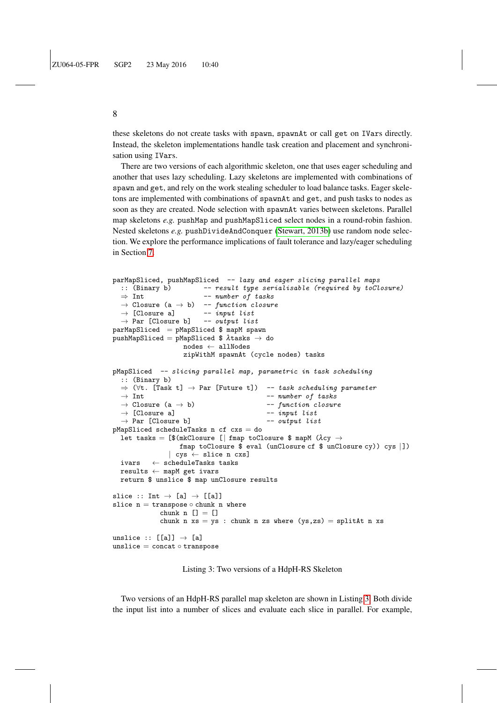these skeletons do not create tasks with spawn, spawnAt or call get on IVars directly. Instead, the skeleton implementations handle task creation and placement and synchronisation using IVars.

There are two versions of each algorithmic skeleton, one that uses eager scheduling and another that uses lazy scheduling. Lazy skeletons are implemented with combinations of spawn and get, and rely on the work stealing scheduler to load balance tasks. Eager skeletons are implemented with combinations of spawnAt and get, and push tasks to nodes as soon as they are created. Node selection with spawnAt varies between skeletons. Parallel map skeletons *e.g.* pushMap and pushMapSliced select nodes in a round-robin fashion. Nested skeletons *e.g.* pushDivideAndConquer [\(Stewart, 2013b\)](#page-37-10) use random node selection. We explore the performance implications of fault tolerance and lazy/eager scheduling in Section [7.](#page-29-1)

```
parMapSliced, pushMapSliced -- lazy and eager slicing parallel maps<br>:: (Binary b) -- result type serialisable (required by toCle
                                   -- result type serialisable (required by toClosure)
   \Rightarrow Int -- number of tasks
   \rightarrow Closure (a \rightarrow b) -- function closure
   \rightarrow [Closure a] -- input list<br>
\rightarrow Par [Closure b] -- output list
   \rightarrow Par [Closure b]
parMapSliced = pMapSliced \ # mapM spawn
pushMapSliced = pMapSliced \ \& \& \& \& \& \& \rightarrow donodes \leftarrow allNodeszipWithM spawnAt (cycle nodes) tasks
pMapSliced -- slicing parallel map, parametric in task scheduling
   :: (Binary b)
   \Rightarrow (\forallt. [Task t] \rightarrow Par [Future t]) -- task scheduling parameter
   \rightarrow Int<br>
\rightarrow Closure (a \rightarrow b)<br>
\rightarrow function closur
   \rightarrow Closure (a \rightarrow b) -- function closure<br>
\rightarrow [Closure a] -- input list
                                                              -- input list\rightarrow Par [Closure b] -- output list
pMapSliced scheduleTasks n cf cxs = dolet tasks = [\frac{1}{2}(\text{mkClosure} \; || \; \text{fmap} \; \text{toClosure} \; || \; \text{map} \; \text{toCtrue} \; || \; \text{map} \; \text{toCtrue} \; || \; \text{map} \; \text{toCtrue} \; || \; \text{map} \; \text{toCtrue} \; || \; \text{map} \; \text{toCtrue} \; || \; \text{map} \; \text{toCtrue} \; || \; \text{map} \; \text{toCtrue} \; || \; \text{map} \; \text{toCtrue} \; || \; \text{map} \; \text{toCtrue} \; ||fmap toClosure $ eval (unClosure cf $ unClosure cy)) cys |])
                      \vert cys \leftarrow slice n cxs]
   ivars \leftarrow scheduleTasks tasks
  results \leftarrow mapM get ivarsreturn $ unslice $ map unClosure results
slice :: Int \rightarrow [a] \rightarrow [[a]]
slice n = transpose \circ chunk n where
                   chunk n [] = []chunk n xs = ys : chunk n zs where (ys, zs) = splitAt n xsunslice :: [[a]] \rightarrow [a]unslice = concat \circ transpose
```
Listing 3: Two versions of a HdpH-RS Skeleton

Two versions of an HdpH-RS parallel map skeleton are shown in Listing [3.](#page-8-0) Both divide the input list into a number of slices and evaluate each slice in parallel. For example,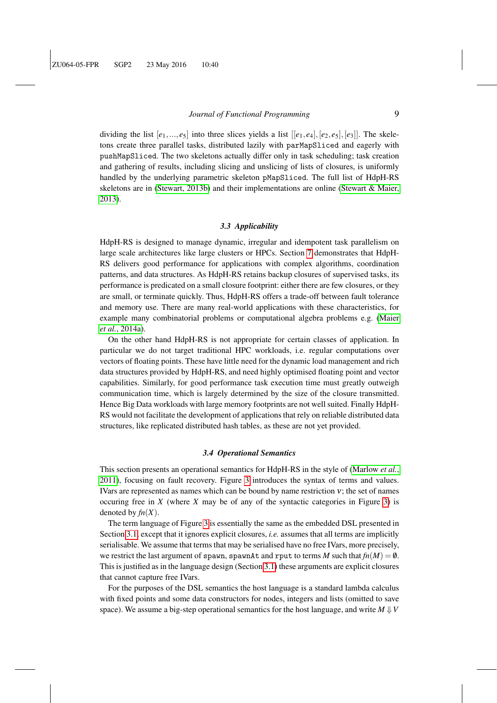dividing the list  $[e_1, ..., e_5]$  into three slices yields a list  $[[e_1, e_4], [e_2, e_5], [e_3]]$ . The skeletons create three parallel tasks, distributed lazily with parMapSliced and eagerly with pushMapSliced. The two skeletons actually differ only in task scheduling; task creation and gathering of results, including slicing and unslicing of lists of closures, is uniformly handled by the underlying parametric skeleton pMapSliced. The full list of HdpH-RS skeletons are in [\(Stewart, 2013b\)](#page-37-10) and their implementations are online [\(Stewart & Maier,](#page-37-3) [2013\)](#page-37-3).

#### *3.3 Applicability*

HdpH-RS is designed to manage dynamic, irregular and idempotent task parallelism on large scale architectures like large clusters or HPCs. Section [7](#page-29-1) demonstrates that HdpH-RS delivers good performance for applications with complex algorithms, coordination patterns, and data structures. As HdpH-RS retains backup closures of supervised tasks, its performance is predicated on a small closure footprint: either there are few closures, or they are small, or terminate quickly. Thus, HdpH-RS offers a trade-off between fault tolerance and memory use. There are many real-world applications with these characteristics, for example many combinatorial problems or computational algebra problems e.g. [\(Maier](#page-36-3) *et al.*[, 2014a\)](#page-36-3).

On the other hand HdpH-RS is not appropriate for certain classes of application. In particular we do not target traditional HPC workloads, i.e. regular computations over vectors of floating points. These have little need for the dynamic load management and rich data structures provided by HdpH-RS, and need highly optimised floating point and vector capabilities. Similarly, for good performance task execution time must greatly outweigh communication time, which is largely determined by the size of the closure transmitted. Hence Big Data workloads with large memory footprints are not well suited. Finally HdpH-RS would not facilitate the development of applications that rely on reliable distributed data structures, like replicated distributed hash tables, as these are not yet provided.

#### *3.4 Operational Semantics*

<span id="page-9-0"></span>This section presents an operational semantics for HdpH-RS in the style of [\(Marlow](#page-37-9) *et al.*, [2011\)](#page-37-9), focusing on fault recovery. Figure [3](#page-10-0) introduces the syntax of terms and values. IVars are represented as names which can be bound by name restriction  $v$ ; the set of names occuring free in *X* (where *X* may be of any of the syntactic categories in Figure [3\)](#page-10-0) is denoted by  $fn(X)$ .

The term language of Figure [3](#page-10-0) is essentially the same as the embedded DSL presented in Section [3.1,](#page-6-2) except that it ignores explicit closures, *i.e.* assumes that all terms are implicitly serialisable. We assume that terms that may be serialised have no free IVars, more precisely, we restrict the last argument of spawn, spawnAt and rput to terms *M* such that  $f_n(M) = \emptyset$ . This is justified as in the language design (Section [3.1\)](#page-6-2) these arguments are explicit closures that cannot capture free IVars.

For the purposes of the DSL semantics the host language is a standard lambda calculus with fixed points and some data constructors for nodes, integers and lists (omitted to save space). We assume a big-step operational semantics for the host language, and write  $M \downarrow V$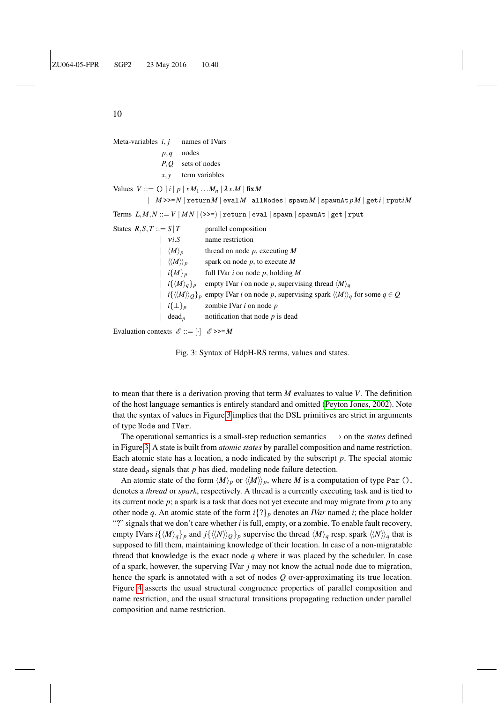<span id="page-10-0"></span>Meta-variables *i*, *j* names of IVars

- *p*,*q* nodes
- *P*,*Q* sets of nodes
- *x*, *y* term variables

Values  $V ::= () | i | p | xM_1 ... M_n | \lambda x.M | \textbf{fix}M$ | *M* >>=*N* | return*M* | eval*M* | allNodes | spawn*M* | spawnAt *pM* | get*i* | rput*iM*

Terms  $L, M, N ::= V | MN | (>)= |$  return | eval | spawn | spawnAt | get | rput

| States $R, S, T ::= S   T$ |                                       | parallel composition                                                                                                                                                      |
|----------------------------|---------------------------------------|---------------------------------------------------------------------------------------------------------------------------------------------------------------------------|
|                            | $\mathcal{V}$ <i>i.S</i>              | name restriction                                                                                                                                                          |
|                            | $\langle M \rangle_p$                 | thread on node $p$ , executing $M$                                                                                                                                        |
|                            | $\langle\langle M \rangle\rangle_p$   | spark on node $p$ , to execute $M$                                                                                                                                        |
|                            | $i\{M\}_p$                            | full IVar i on node $p$ , holding M                                                                                                                                       |
|                            |                                       | $i\{\langle M \rangle_q\}_p$ empty IVar i on node p, supervising thread $\langle M \rangle_q$                                                                             |
|                            |                                       | $\left\{\langle \langle M \rangle \rangle_Q \right\}_p$ empty IVar <i>i</i> on node <i>p</i> , supervising spark $\langle \langle M \rangle \rangle_q$ for some $q \in Q$ |
|                            | $\left  \quad i{\{\perp\}}_p \right $ | zombie IVar i on node $p$                                                                                                                                                 |
|                            | $dead_p$                              | notification that node $p$ is dead                                                                                                                                        |

Evaluation contexts  $\mathscr{E} ::= [\cdot] | \mathscr{E} \gg \Rightarrow M$ 

Fig. 3: Syntax of HdpH-RS terms, values and states.

to mean that there is a derivation proving that term *M* evaluates to value *V*. The definition of the host language semantics is entirely standard and omitted [\(Peyton Jones, 2002\)](#page-37-11). Note that the syntax of values in Figure [3](#page-10-0) implies that the DSL primitives are strict in arguments of type Node and IVar.

The operational semantics is a small-step reduction semantics −→ on the *states* defined in Figure [3.](#page-10-0) A state is built from *atomic states* by parallel composition and name restriction. Each atomic state has a location, a node indicated by the subscript *p*. The special atomic state dead*<sup>p</sup>* signals that *p* has died, modeling node failure detection.

An atomic state of the form  $\langle M \rangle_p$  or  $\langle \langle M \rangle_p$ , where *M* is a computation of type Par (), denotes a *thread* or *spark*, respectively. A thread is a currently executing task and is tied to its current node *p*; a spark is a task that does not yet execute and may migrate from *p* to any other node q. An atomic state of the form  $i\{?\}$  denotes an *IVar* named *i*; the place holder "?" signals that we don't care whether *i* is full, empty, or a zombie. To enable fault recovery, empty IVars  $i\{\langle M \rangle_q\}$  and  $j\{\langle N \rangle_Q\}$  supervise the thread  $\langle M \rangle_q$  resp. spark  $\langle N \rangle_q$  that is supposed to fill them, maintaining knowledge of their location. In case of a non-migratable thread that knowledge is the exact node *q* where it was placed by the scheduler. In case of a spark, however, the superving IVar *j* may not know the actual node due to migration, hence the spark is annotated with a set of nodes *Q* over-approximating its true location. Figure [4](#page-11-0) asserts the usual structural congruence properties of parallel composition and name restriction, and the usual structural transitions propagating reduction under parallel composition and name restriction.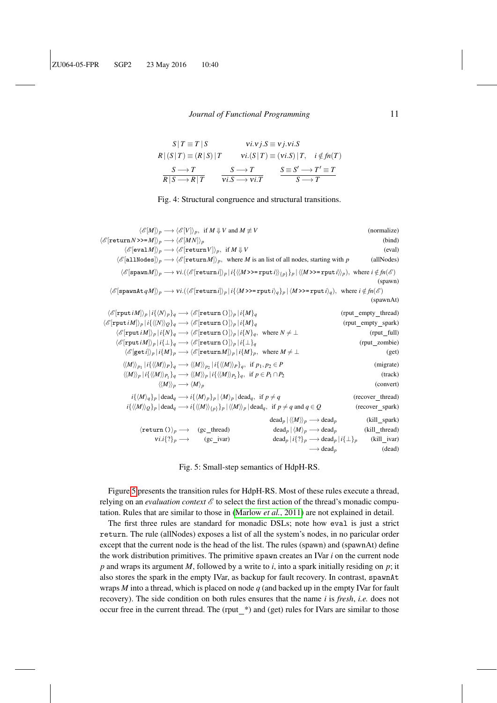<span id="page-11-0"></span>
$$
S | T \equiv T | S \qquad \text{vi.} \nu j. S \equiv \nu j. \nu i. S
$$
  
\n
$$
R | (S | T) \equiv (R | S) | T \qquad \text{vi.} (S | T) \equiv (\nu i. S) | T, \quad i \notin f n(T)
$$
  
\n
$$
\frac{S \longrightarrow T}{R | S \longrightarrow R | T} \qquad \frac{S \longrightarrow T}{\nu i. S \longrightarrow \nu i. T} \qquad \frac{S \equiv S' \longrightarrow T' \equiv T}{S \longrightarrow T}
$$

|  | Fig. 4: Structural congruence and structural transitions. |  |  |
|--|-----------------------------------------------------------|--|--|
|  |                                                           |  |  |

<span id="page-11-1"></span>

| (normalize)                                                                                   | $\langle \mathcal{E}[M] \rangle_p \longrightarrow \langle \mathcal{E}[V] \rangle_p$ , if $M \Downarrow V$ and $M \not\equiv V$                                                                                                                                                                                                  |  |
|-----------------------------------------------------------------------------------------------|---------------------------------------------------------------------------------------------------------------------------------------------------------------------------------------------------------------------------------------------------------------------------------------------------------------------------------|--|
| (bind)                                                                                        |                                                                                                                                                                                                                                                                                                                                 |  |
| (eval)                                                                                        | $\langle \mathscr{E}[\texttt{eval} M] \rangle_p \longrightarrow \langle \mathscr{E}[\texttt{return} V] \rangle_p$ , if $M \Downarrow V$                                                                                                                                                                                         |  |
| (allNodes)                                                                                    | $\langle \mathcal{E}[\text{allNodes}]\rangle_p \longrightarrow \langle \mathcal{E}[\text{return }M]\rangle_p$ , where <i>M</i> is an list of all nodes, starting with <i>p</i>                                                                                                                                                  |  |
| (spawn)                                                                                       | $\langle \mathcal{E}[\text{spam}M] \rangle_p \longrightarrow \text{Vi.}(\langle \mathcal{E}[\text{return } i] \rangle_p   i \{ \langle \langle M \rangle \rangle = \text{rput } i \rangle \rangle_{\{p\}} \}_p   \langle \langle M \rangle \rangle = \text{rput } i \rangle_p), \text{ where } i \notin \text{fn}(\mathcal{E})$ |  |
| (spawnAt)                                                                                     | $\langle \mathscr{E}[\texttt{spawnAt} qM] \rangle_p \longrightarrow \text{vi.}(\langle \mathscr{E}[\texttt{return} i] \rangle_p   i \{ \langle M \rangle = \texttt{rput} i \rangle_q \}_p   \langle M \rangle = \texttt{rput} i \rangle_q), \text{ where } i \notin fn(\mathscr{E})$                                            |  |
| (rput_empty_thread)                                                                           | $\langle \mathscr{E}[\texttt{rput}\,iM] \rangle_p   i \{\langle N \rangle_p\}_q \longrightarrow \langle \mathscr{E}[\texttt{return } \Omega] \rangle_p   i \{M\}_q$                                                                                                                                                             |  |
| (rput_empty_spark)                                                                            | $\langle \mathscr{E}[\texttt{rput}\,iM] \rangle_p   i \{ \langle \langle N \rangle \rangle_Q \}_q \longrightarrow \langle \mathscr{E}[\texttt{return } \Omega] \rangle_p   i \{M\}_q$                                                                                                                                           |  |
| $(rput_full)$                                                                                 | $\langle \mathscr{E}[\texttt{rput}\,iM] \rangle_p   i \{N\}_q \longrightarrow \langle \mathscr{E}[\texttt{return }()] \rangle_p   i \{N\}_q$ , where $N \neq \perp$                                                                                                                                                             |  |
| (rput_zombie)                                                                                 | $\langle \mathscr{E}[\texttt{rput}\,iM]\rangle_p  i\{\perp\}_q \longrightarrow \langle \mathscr{E}[\texttt{return }()]\rangle_p  i\{\perp\}_q$                                                                                                                                                                                  |  |
| (get)                                                                                         | $\langle \mathscr{E}[\textsf{get} \, i] \rangle_p   i \{M\}_p \longrightarrow \langle \mathscr{E}[\texttt{return} \, M] \rangle_p   i \{M\}_p, \text{ where } M \neq \bot$                                                                                                                                                      |  |
| (migrate)                                                                                     | $\langle\langle M \rangle\rangle_{p_1}   i \{ \langle\langle M \rangle\rangle_P \}_q \longrightarrow \langle\langle M \rangle\rangle_{p_2}   i \{ \langle\langle M \rangle\rangle_P \}_q$ , if $p_1, p_2 \in P$                                                                                                                 |  |
| (track)                                                                                       | $\langle\langle M \rangle\rangle_p  i\{\langle\langle M \rangle\rangle_{P_1}\}_q \longrightarrow \langle\langle M \rangle\rangle_p  i\{\langle\langle M \rangle\rangle_{P_2}\}_q$ , if $p \in P_1 \cap P_2$                                                                                                                     |  |
| (convert)                                                                                     | $\langle\langle M\rangle\rangle_p \longrightarrow \langle M\rangle_p$                                                                                                                                                                                                                                                           |  |
| (recover thread)                                                                              | $i\{\langle M\rangle_q\}_p   \text{dead}_q \longrightarrow i\{\langle M\rangle_p\}_p   \langle M\rangle_p   \text{dead}_q, \text{ if } p \neq q$                                                                                                                                                                                |  |
| (recover_spark)                                                                               | $i\{\langle\langle M\rangle\rangle_{Q}\}_p \, \, \text{dead}_q \longrightarrow i\{\langle\langle M\rangle\rangle_{\{p\}}\}_p \, \, \langle\langle M\rangle\rangle_p \, \, \text{dead}_q,\, \text{ if } p \neq q \text{ and } q \in Q$                                                                                           |  |
| (kill_spark)                                                                                  | $\text{dead}_p \mid \langle \langle M \rangle \rangle_p \longrightarrow \text{dead}_p$                                                                                                                                                                                                                                          |  |
| (kill_thread)                                                                                 | dead <sub>p</sub> $\langle M \rangle_p \longrightarrow$ dead <sub>p</sub><br>$\langle$ return $()$ <sub>p</sub> $\longrightarrow$ (gc_thread)                                                                                                                                                                                   |  |
| $\text{dead}_p   i \{? \}_p \longrightarrow \text{dead}_p   i \{ \perp \}_p$<br>$(kill_ivar)$ | $v i.i$ {?} $_p \rightarrow$ (gc_ivar)                                                                                                                                                                                                                                                                                          |  |
| $\longrightarrow$ dead <sub>n</sub><br>(dead)                                                 |                                                                                                                                                                                                                                                                                                                                 |  |

Fig. 5: Small-step semantics of HdpH-RS.

Figure [5](#page-11-1) presents the transition rules for HdpH-RS. Most of these rules execute a thread, relying on an *evaluation context*  $\mathscr E$  to select the first action of the thread's monadic computation. Rules that are similar to those in [\(Marlow](#page-37-9) *et al.*, 2011) are not explained in detail.

The first three rules are standard for monadic DSLs; note how eval is just a strict return. The rule (allNodes) exposes a list of all the system's nodes, in no paricular order except that the current node is the head of the list. The rules (spawn) and (spawnAt) define the work distribution primitives. The primitive spawn creates an IVar *i* on the current node *p* and wraps its argument *M*, followed by a write to *i*, into a spark initially residing on *p*; it also stores the spark in the empty IVar, as backup for fault recovery. In contrast, spawnAt wraps *M* into a thread, which is placed on node *q* (and backed up in the empty IVar for fault recovery). The side condition on both rules ensures that the name *i* is *fresh*, *i.e.* does not occur free in the current thread. The (rput\_\*) and (get) rules for IVars are similar to those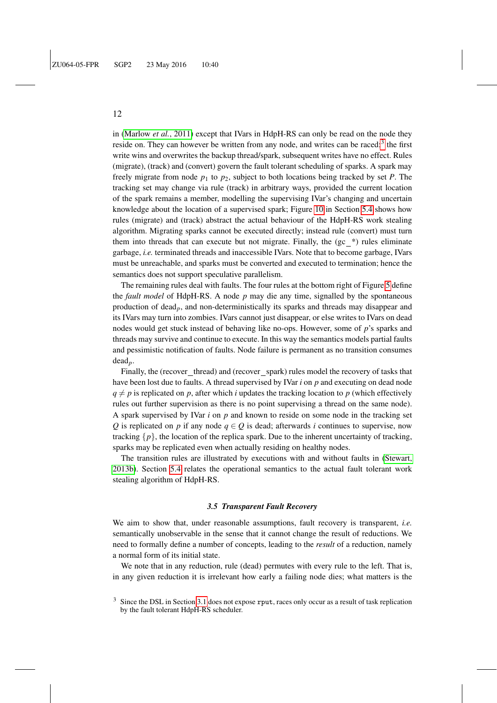in [\(Marlow](#page-37-9) *et al.*, 2011) except that IVars in HdpH-RS can only be read on the node they reside on. They can however be written from any node, and writes can be raced;<sup>[3](#page-12-1)</sup> the first write wins and overwrites the backup thread/spark, subsequent writes have no effect. Rules (migrate), (track) and (convert) govern the fault tolerant scheduling of sparks. A spark may freely migrate from node  $p_1$  to  $p_2$ , subject to both locations being tracked by set *P*. The tracking set may change via rule (track) in arbitrary ways, provided the current location of the spark remains a member, modelling the supervising IVar's changing and uncertain knowledge about the location of a supervised spark; Figure [10](#page-25-0) in Section [5.4](#page-24-0) shows how rules (migrate) and (track) abstract the actual behaviour of the HdpH-RS work stealing algorithm. Migrating sparks cannot be executed directly; instead rule (convert) must turn them into threads that can execute but not migrate. Finally, the  $(gc * )$  rules eliminate garbage, *i.e.* terminated threads and inaccessible IVars. Note that to become garbage, IVars must be unreachable, and sparks must be converted and executed to termination; hence the semantics does not support speculative parallelism.

The remaining rules deal with faults. The four rules at the bottom right of Figure [5](#page-11-1) define the *fault model* of HdpH-RS. A node *p* may die any time, signalled by the spontaneous production of dead*p*, and non-deterministically its sparks and threads may disappear and its IVars may turn into zombies. IVars cannot just disappear, or else writes to IVars on dead nodes would get stuck instead of behaving like no-ops. However, some of *p*'s sparks and threads may survive and continue to execute. In this way the semantics models partial faults and pessimistic notification of faults. Node failure is permanent as no transition consumes dead*p*.

Finally, the (recover thread) and (recover spark) rules model the recovery of tasks that have been lost due to faults. A thread supervised by IVar *i* on *p* and executing on dead node  $q \neq p$  is replicated on *p*, after which *i* updates the tracking location to *p* (which effectively rules out further supervision as there is no point supervising a thread on the same node). A spark supervised by IVar *i* on *p* and known to reside on some node in the tracking set *Q* is replicated on *p* if any node  $q \in O$  is dead; afterwards *i* continues to supervise, now tracking  $\{p\}$ , the location of the replica spark. Due to the inherent uncertainty of tracking, sparks may be replicated even when actually residing on healthy nodes.

The transition rules are illustrated by executions with and without faults in [\(Stewart,](#page-37-10) [2013b\)](#page-37-10). Section [5.4](#page-24-0) relates the operational semantics to the actual fault tolerant work stealing algorithm of HdpH-RS.

#### *3.5 Transparent Fault Recovery*

<span id="page-12-0"></span>We aim to show that, under reasonable assumptions, fault recovery is transparent, *i.e.* semantically unobservable in the sense that it cannot change the result of reductions. We need to formally define a number of concepts, leading to the *result* of a reduction, namely a normal form of its initial state.

We note that in any reduction, rule (dead) permutes with every rule to the left. That is, in any given reduction it is irrelevant how early a failing node dies; what matters is the

<span id="page-12-1"></span><sup>&</sup>lt;sup>3</sup> Since the DSL in Section [3.1](#page-6-2) does not expose rput, races only occur as a result of task replication by the fault tolerant HdpH-RS scheduler.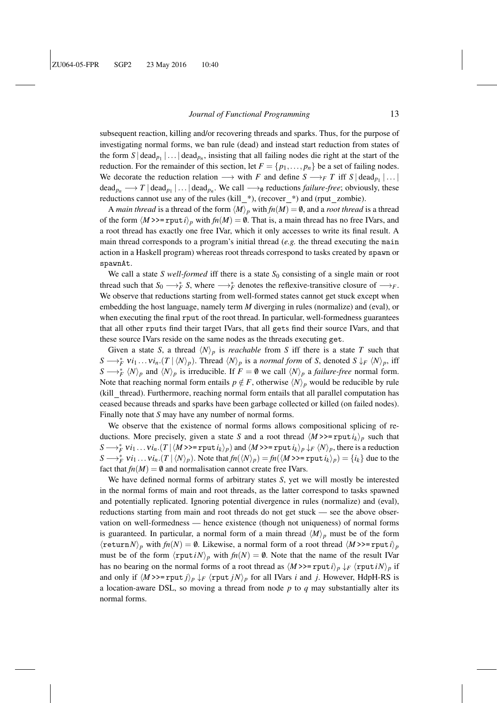subsequent reaction, killing and/or recovering threads and sparks. Thus, for the purpose of investigating normal forms, we ban rule (dead) and instead start reduction from states of the form  $S | \text{dead}_{p_1} | \dots | \text{dead}_{p_n}$ , insisting that all failing nodes die right at the start of the reduction. For the remainder of this section, let  $F = \{p_1, \ldots, p_n\}$  be a set of failing nodes. We decorate the reduction relation  $\longrightarrow$  with *F* and define  $S \longrightarrow_F T$  iff  $S | \text{dead}_{p_1} | \dots |$ dead<sub>*p<sub>n</sub>*</sub>  $\longrightarrow$  *T* | dead<sub>*p*1</sub> | ... | dead<sub>*p<sub>n</sub>*</sub>. We call  $\longrightarrow$ <sub>0</sub> reductions *failure-free*; obviously, these reductions cannot use any of the rules (kill \*), (recover \*) and (rput zombie).

A *main thread* is a thread of the form  $\langle M \rangle_p$  with  $fn(M) = \emptyset$ , and a *root thread* is a thread of the form  $\langle M \rangle$  >= rput *i*)<sub>p</sub> with  $fn(M) = \emptyset$ . That is, a main thread has no free IVars, and a root thread has exactly one free IVar, which it only accesses to write its final result. A main thread corresponds to a program's initial thread (*e.g.* the thread executing the main action in a Haskell program) whereas root threads correspond to tasks created by spawn or spawnAt.

We call a state *S well-formed* iff there is a state  $S_0$  consisting of a single main or root thread such that  $S_0 \longrightarrow_F^* S$ , where  $\longrightarrow_F^*$  denotes the reflexive-transitive closure of  $\longrightarrow_F$ . We observe that reductions starting from well-formed states cannot get stuck except when embedding the host language, namely term *M* diverging in rules (normalize) and (eval), or when executing the final rput of the root thread. In particular, well-formedness guarantees that all other rputs find their target IVars, that all gets find their source IVars, and that these source IVars reside on the same nodes as the threads executing get.

Given a state *S*, a thread  $\langle N \rangle_p$  is *reachable* from *S* iff there is a state *T* such that  $S \longrightarrow_F^* Vi_1 \dots Vi_n$ . $(T | \langle N \rangle_p)$ . Thread  $\langle N \rangle_p$  is a *normal form* of *S*, denoted  $S \downarrow_F \langle N \rangle_p$ , iff  $S \longrightarrow_{F}^{*} \langle N \rangle_{p}$  and  $\langle N \rangle_{p}$  is irreducible. If  $F = \emptyset$  we call  $\langle N \rangle_{p}$  a *failure-free* normal form. Note that reaching normal form entails  $p \notin F$ , otherwise  $\langle N \rangle_p$  would be reducible by rule (kill thread). Furthermore, reaching normal form entails that all parallel computation has ceased because threads and sparks have been garbage collected or killed (on failed nodes). Finally note that *S* may have any number of normal forms.

We observe that the existence of normal forms allows compositional splicing of reductions. More precisely, given a state *S* and a root thread  $\langle M \rangle$  = rput  $i_k$ )<sub>*p*</sub> such that  $S \longrightarrow_F^* v_i_1 \dots v_i_n$ . $(T | \langle M \rangle = \text{rput} i_k \rangle_p)$  and  $\langle M \rangle = \text{rput} i_k \rangle_p \downarrow_F \langle N \rangle_p$ , there is a reduction  $S \longrightarrow_F^* V_i_1 \dots V_i_n$ . $(T | \langle N \rangle_p)$ . Note that  $fn(\langle N \rangle_p) = fn(\langle M \rangle_p) = \text{rput } i_k \rangle_p) = \{i_k\}$  due to the fact that  $f_n(M) = \emptyset$  and normalisation cannot create free IVars.

We have defined normal forms of arbitrary states *S*, yet we will mostly be interested in the normal forms of main and root threads, as the latter correspond to tasks spawned and potentially replicated. Ignoring potential divergence in rules (normalize) and (eval), reductions starting from main and root threads do not get stuck — see the above observation on well-formedness — hence existence (though not uniqueness) of normal forms is guaranteed. In particular, a normal form of a main thread  $\langle M \rangle_p$  must be of the form  $\langle$ return*N* $\rangle$ <sub>*p*</sub> with *fn*(*N*) = 0. Likewise, a normal form of a root thread  $\langle M \rangle$  >= rput *i*)<sub>*p*</sub> must be of the form  $\langle \text{rput } iN \rangle_p$  with  $fn(N) = \emptyset$ . Note that the name of the result IVar has no bearing on the normal forms of a root thread as  $\langle M \rangle$  = rput *i*)<sub>*p*</sub>  $\downarrow$ *F*  $\langle$ rput*iN*<sub>)*p*</sub> if and only if  $\langle M \rangle$  >= rput *j*)<sub>*p*</sub>  $\downarrow$ *F*  $\langle$  rput *jN*)<sub>*p*</sub> for all IVars *i* and *j*. However, HdpH-RS is a location-aware DSL, so moving a thread from node *p* to *q* may substantially alter its normal forms.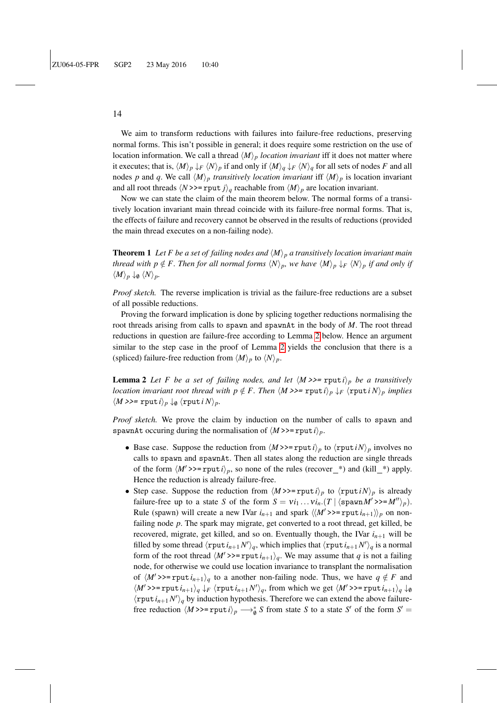We aim to transform reductions with failures into failure-free reductions, preserving normal forms. This isn't possible in general; it does require some restriction on the use of location information. We call a thread  $\langle M \rangle_p$  *location invariant* iff it does not matter where it executes; that is,  $\langle M \rangle_p \downarrow_F \langle N \rangle_p$  if and only if  $\langle M \rangle_q \downarrow_F \langle N \rangle_q$  for all sets of nodes *F* and all nodes *p* and *q*. We call  $\langle M \rangle_p$  *transitively location invariant* iff  $\langle M \rangle_p$  is location invariant and all root threads  $\langle N \rangle$  > - rput *j*)<sub>*q*</sub> reachable from  $\langle M \rangle_p$  are location invariant.

Now we can state the claim of the main theorem below. The normal forms of a transitively location invariant main thread coincide with its failure-free normal forms. That is, the effects of failure and recovery cannot be observed in the results of reductions (provided the main thread executes on a non-failing node).

**Theorem 1** Let F be a set of failing nodes and  $\langle M \rangle_p$  a transitively location invariant main *thread with p*  $\notin$  *F. Then for all normal forms*  $\langle N \rangle_p$ *, we have*  $\langle M \rangle_p \downarrow_F \langle N \rangle_p$  *if and only if*  $\langle M \rangle_p \downarrow_0 \langle N \rangle_p$ .

*Proof sketch.* The reverse implication is trivial as the failure-free reductions are a subset of all possible reductions.

Proving the forward implication is done by splicing together reductions normalising the root threads arising from calls to spawn and spawnAt in the body of *M*. The root thread reductions in question are failure-free according to Lemma [2](#page-14-0) below. Hence an argument similar to the step case in the proof of Lemma [2](#page-14-0) yields the conclusion that there is a (spliced) failure-free reduction from  $\langle M \rangle_p$  to  $\langle N \rangle_p$ .

<span id="page-14-0"></span>**Lemma 2** Let F be a set of failing nodes, and let  $\langle M \rangle$  >  $\Rightarrow$  rput*i*)<sub>p</sub> be a transitively *location invariant root thread with*  $p \notin F$ *. Then*  $\langle M \rangle$  *>>= rput<i>i*)<sub>p</sub>  $\downarrow$ <sub>*F*</sub>  $\langle$ rput*i N*)<sub>p</sub> *implies*  $\langle M \rangle$  >>= rput *i*)<sub>*p*</sub>  $\downarrow$ <sub>0</sub>  $\langle$  rput *i N*)<sub>*p*</sub>.

*Proof sketch.* We prove the claim by induction on the number of calls to spawn and spawnAt occuring during the normalisation of  $\langle M \rangle$  >= rput *i*)<sub>*p*</sub>.

- Base case. Suppose the reduction from  $\langle M \rangle$  = rput *i*)<sub>*p*</sub> to  $\langle \text{rput } iN \rangle$ <sub>*p*</sub> involves no calls to spawn and spawnAt. Then all states along the reduction are single threads of the form  $\langle M' \rangle$  > = rput *i*<sub>/p</sub>, so none of the rules (recover \*) and (kill \*) apply. Hence the reduction is already failure-free.
- Step case. Suppose the reduction from  $\langle M \rangle$  = rput*i*)<sub>*p*</sub> to  $\langle \text{rput } iN \rangle$ <sub>*p*</sub> is already failure-free up to a state *S* of the form  $S = vi_1 \dots vi_n \cdot (T \mid \langle \text{spam} M' \rangle = M'' \rangle_p)$ . Rule (spawn) will create a new IVar  $i_{n+1}$  and spark  $\langle M' \rangle$  > = rput  $i_{n+1} \rangle$  on nonfailing node *p*. The spark may migrate, get converted to a root thread, get killed, be recovered, migrate, get killed, and so on. Eventually though, the IVar  $i_{n+1}$  will be filled by some thread  $\langle \text{rput } i_{n+1} N' \rangle_q$ , which implies that  $\langle \text{rput } i_{n+1} N' \rangle_q$  is a normal form of the root thread  $\langle M' \rangle$  > = rput  $i_{n+1}$ , *\algequarrooting*. We may assume that *q* is not a failing node, for otherwise we could use location invariance to transplant the normalisation of  $\langle M' \rangle$  >>= rput  $i_{n+1}$ , to a another non-failing node. Thus, we have  $q \notin F$  and  $\langle M' \rangle$  >>= rput  $i_{n+1}$ ,  $\rangle_q \downarrow_F \langle$  rput  $i_{n+1}N' \rangle_q$ , from which we get  $\langle M' \rangle$  >= rput  $i_{n+1}$ ,  $\rangle_q \downarrow_0$  $\langle \text{rput } i_{n+1} N' \rangle_q$  by induction hypothesis. Therefore we can extend the above failurefree reduction  $\langle M \rangle$  > = rput *i*<sub>/</sub> $_p \longrightarrow_{\emptyset}^* S$  from state *S* to a state *S'* of the form *S'* =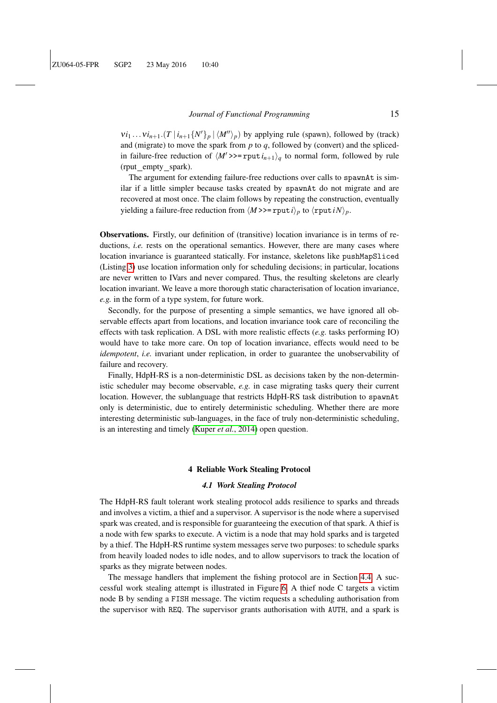$v_i_1 \ldots v_{i_{n+1}}$ .  $(T | i_{n+1} \{N'\}_p | \langle M''\rangle_p)$  by applying rule (spawn), followed by (track) and (migrate) to move the spark from  $p$  to  $q$ , followed by (convert) and the splicedin failure-free reduction of  $\langle M' \rangle$  >= rput  $i_{n+1}$ <sub>q</sub> to normal form, followed by rule (rput\_empty\_spark).

The argument for extending failure-free reductions over calls to spawnAt is similar if a little simpler because tasks created by spawnAt do not migrate and are recovered at most once. The claim follows by repeating the construction, eventually yielding a failure-free reduction from  $\langle M \rangle$  = rput *i*<sub>*p*</sub> to  $\langle$ rput *iN*<sub>*p*</sub>.

Observations. Firstly, our definition of (transitive) location invariance is in terms of reductions, *i.e.* rests on the operational semantics. However, there are many cases where location invariance is guaranteed statically. For instance, skeletons like pushMapSliced (Listing [3\)](#page-8-0) use location information only for scheduling decisions; in particular, locations are never written to IVars and never compared. Thus, the resulting skeletons are clearly location invariant. We leave a more thorough static characterisation of location invariance, *e.g.* in the form of a type system, for future work.

Secondly, for the purpose of presenting a simple semantics, we have ignored all observable effects apart from locations, and location invariance took care of reconciling the effects with task replication. A DSL with more realistic effects (*e.g.* tasks performing IO) would have to take more care. On top of location invariance, effects would need to be *idempotent*, *i.e.* invariant under replication, in order to guarantee the unobservability of failure and recovery.

Finally, HdpH-RS is a non-deterministic DSL as decisions taken by the non-deterministic scheduler may become observable, *e.g.* in case migrating tasks query their current location. However, the sublanguage that restricts HdpH-RS task distribution to spawnAt only is deterministic, due to entirely deterministic scheduling. Whether there are more interesting deterministic sub-languages, in the face of truly non-deterministic scheduling, is an interesting and timely [\(Kuper](#page-36-11) *et al.*, 2014) open question.

# 4 Reliable Work Stealing Protocol

# *4.1 Work Stealing Protocol*

<span id="page-15-0"></span>The HdpH-RS fault tolerant work stealing protocol adds resilience to sparks and threads and involves a victim, a thief and a supervisor. A supervisor is the node where a supervised spark was created, and is responsible for guaranteeing the execution of that spark. A thief is a node with few sparks to execute. A victim is a node that may hold sparks and is targeted by a thief. The HdpH-RS runtime system messages serve two purposes: to schedule sparks from heavily loaded nodes to idle nodes, and to allow supervisors to track the location of sparks as they migrate between nodes.

The message handlers that implement the fishing protocol are in Section [4.4.](#page-18-0) A successful work stealing attempt is illustrated in Figure [6.](#page-16-0) A thief node C targets a victim node B by sending a FISH message. The victim requests a scheduling authorisation from the supervisor with REQ. The supervisor grants authorisation with AUTH, and a spark is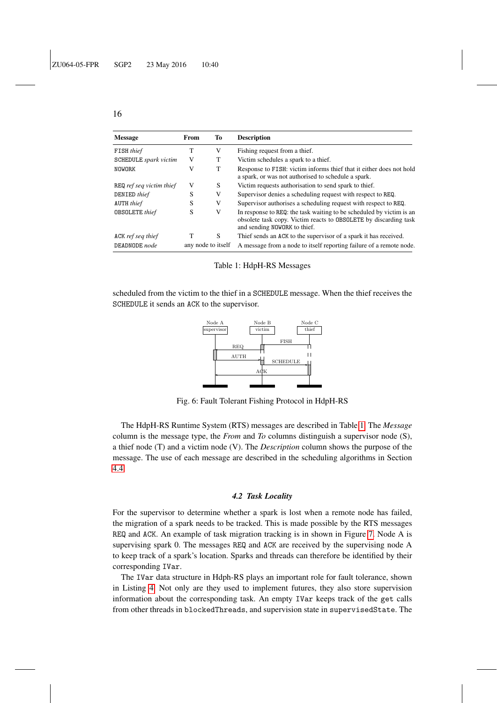<span id="page-16-1"></span>

| <b>Message</b>           | From               | Тo | <b>Description</b>                                                                                                                                                              |
|--------------------------|--------------------|----|---------------------------------------------------------------------------------------------------------------------------------------------------------------------------------|
| FISH thief               |                    | V  | Fishing request from a thief.                                                                                                                                                   |
| SCHEDULE spark victim    | V                  | T  | Victim schedules a spark to a thief.                                                                                                                                            |
| NOWORK                   | V                  | T  | Response to FISH: victim informs thief that it either does not hold<br>a spark, or was not authorised to schedule a spark.                                                      |
| REQ ref seq victim thief | V                  | S  | Victim requests authorisation to send spark to thief.                                                                                                                           |
| DENIED thief             | S                  | V  | Supervisor denies a scheduling request with respect to REQ.                                                                                                                     |
| <b>AUTH</b> thief        | S                  | V  | Supervisor authorises a scheduling request with respect to REQ.                                                                                                                 |
| <b>OBSOLETE</b> thief    | S                  | V  | In response to REQ: the task waiting to be scheduled by victim is an<br>obsolete task copy. Victim reacts to <b>OBSOLETE</b> by discarding task<br>and sending NOWORK to thief. |
| ACK ref seq thief        |                    | S  | Thief sends an ACK to the supervisor of a spark it has received.                                                                                                                |
| DEADNODE node            | any node to itself |    | A message from a node to itself reporting failure of a remote node.                                                                                                             |

Table 1: HdpH-RS Messages

<span id="page-16-0"></span>scheduled from the victim to the thief in a SCHEDULE message. When the thief receives the SCHEDULE it sends an ACK to the supervisor.



Fig. 6: Fault Tolerant Fishing Protocol in HdpH-RS

The HdpH-RS Runtime System (RTS) messages are described in Table [1.](#page-16-1) The *Message* column is the message type, the *From* and *To* columns distinguish a supervisor node (S), a thief node (T) and a victim node (V). The *Description* column shows the purpose of the message. The use of each message are described in the scheduling algorithms in Section [4.4.](#page-18-0)

#### *4.2 Task Locality*

For the supervisor to determine whether a spark is lost when a remote node has failed, the migration of a spark needs to be tracked. This is made possible by the RTS messages REQ and ACK. An example of task migration tracking is in shown in Figure [7.](#page-17-0) Node A is supervising spark 0. The messages REQ and ACK are received by the supervising node A to keep track of a spark's location. Sparks and threads can therefore be identified by their corresponding IVar.

The IVar data structure in Hdph-RS plays an important role for fault tolerance, shown in Listing [4.](#page-17-1) Not only are they used to implement futures, they also store supervision information about the corresponding task. An empty IVar keeps track of the get calls from other threads in blockedThreads, and supervision state in supervisedState. The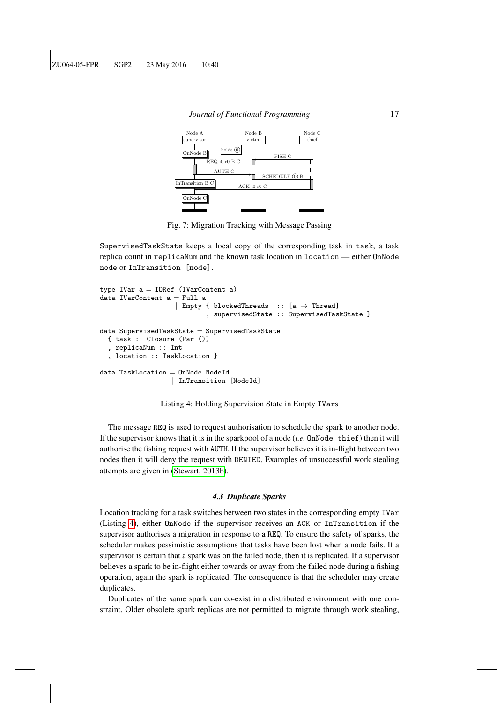<span id="page-17-0"></span>

Fig. 7: Migration Tracking with Message Passing

SupervisedTaskState keeps a local copy of the corresponding task in task, a task replica count in replicaNum and the known task location in location — either OnNode node or InTransition [node].

```
type IVar a = 10Ref (IVarContent a)
data IVarContent a = Full a| Empty { blockedThreads :: [a \rightarrow Thread]
                            , supervisedState :: SupervisedTaskState }
data SupervisedTaskState = SupervisedTaskState
 { task :: Closure (Par ())
  , replicaNum :: Int
  , location :: TaskLocation }
data TaskLocation = OnNode NodeId
                  | InTransition [NodeId]
```
Listing 4: Holding Supervision State in Empty IVars

The message REQ is used to request authorisation to schedule the spark to another node. If the supervisor knows that it is in the sparkpool of a node  $(i.e.$  On Node thief) then it will authorise the fishing request with AUTH. If the supervisor believes it is in-flight between two nodes then it will deny the request with DENIED. Examples of unsuccessful work stealing attempts are given in [\(Stewart, 2013b\)](#page-37-10).

# *4.3 Duplicate Sparks*

<span id="page-17-2"></span>Location tracking for a task switches between two states in the corresponding empty IVar (Listing [4\)](#page-17-1), either OnNode if the supervisor receives an ACK or InTransition if the supervisor authorises a migration in response to a REQ. To ensure the safety of sparks, the scheduler makes pessimistic assumptions that tasks have been lost when a node fails. If a supervisor is certain that a spark was on the failed node, then it is replicated. If a supervisor believes a spark to be in-flight either towards or away from the failed node during a fishing operation, again the spark is replicated. The consequence is that the scheduler may create duplicates.

Duplicates of the same spark can co-exist in a distributed environment with one constraint. Older obsolete spark replicas are not permitted to migrate through work stealing,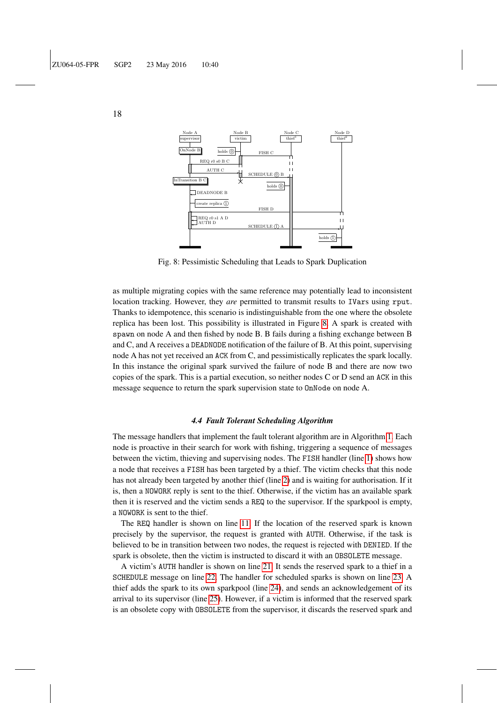

Fig. 8: Pessimistic Scheduling that Leads to Spark Duplication

as multiple migrating copies with the same reference may potentially lead to inconsistent location tracking. However, they *are* permitted to transmit results to IVars using rput. Thanks to idempotence, this scenario is indistinguishable from the one where the obsolete replica has been lost. This possibility is illustrated in Figure [8.](#page-18-1) A spark is created with spawn on node A and then fished by node B. B fails during a fishing exchange between B and C, and A receives a DEADNODE notification of the failure of B. At this point, supervising node A has not yet received an ACK from C, and pessimistically replicates the spark locally. In this instance the original spark survived the failure of node B and there are now two copies of the spark. This is a partial execution, so neither nodes C or D send an ACK in this message sequence to return the spark supervision state to OnNode on node A.

#### *4.4 Fault Tolerant Scheduling Algorithm*

<span id="page-18-0"></span>The message handlers that implement the fault tolerant algorithm are in Algorithm [1.](#page-19-0) Each node is proactive in their search for work with fishing, triggering a sequence of messages between the victim, thieving and supervising nodes. The FISH handler (line [1\)](#page-18-0) shows how a node that receives a FISH has been targeted by a thief. The victim checks that this node has not already been targeted by another thief (line [2\)](#page-18-0) and is waiting for authorisation. If it is, then a NOWORK reply is sent to the thief. Otherwise, if the victim has an available spark then it is reserved and the victim sends a REQ to the supervisor. If the sparkpool is empty, a NOWORK is sent to the thief.

The REQ handler is shown on line [11.](#page-18-0) If the location of the reserved spark is known precisely by the supervisor, the request is granted with AUTH. Otherwise, if the task is believed to be in transition between two nodes, the request is rejected with DENIED. If the spark is obsolete, then the victim is instructed to discard it with an OBSOLETE message.

A victim's AUTH handler is shown on line [21.](#page-18-0) It sends the reserved spark to a thief in a SCHEDULE message on line [22.](#page-18-0) The handler for scheduled sparks is shown on line [23.](#page-18-0) A thief adds the spark to its own sparkpool (line [24\)](#page-18-0), and sends an acknowledgement of its arrival to its supervisor (line [25\)](#page-18-0). However, if a victim is informed that the reserved spark is an obsolete copy with OBSOLETE from the supervisor, it discards the reserved spark and

<span id="page-18-1"></span>18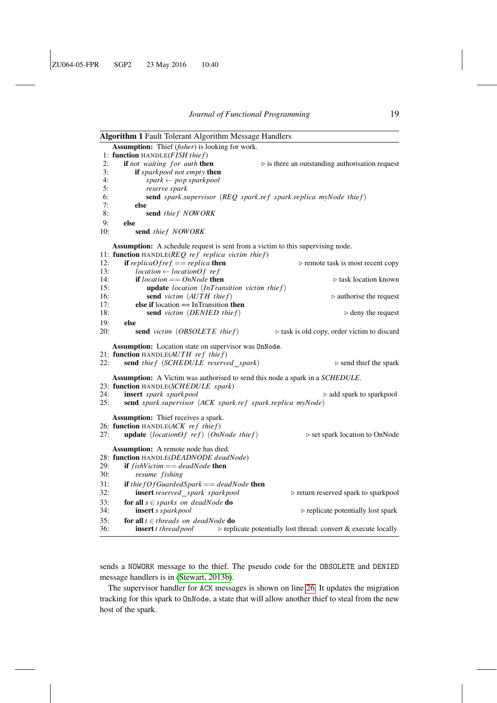<span id="page-19-0"></span>

|     | Algorithm 1 Fault Tolerant Algorithm Message Handlers                            |                                                                               |
|-----|----------------------------------------------------------------------------------|-------------------------------------------------------------------------------|
|     | Assumption: Thief (fisher) is looking for work.                                  |                                                                               |
|     | 1: function HANDLE(FISH thief)                                                   |                                                                               |
| 2:  | if not waiting for auth then                                                     | $\triangleright$ is there an outstanding authorisation request                |
| 3:  | if sparkpool not empty then                                                      |                                                                               |
| 4:  | $spark \leftarrow pop$ sparkpool                                                 |                                                                               |
| 5:  | reserve spark                                                                    |                                                                               |
| 6:  | send spark.supervisor (REQ spark.ref spark.replica myNode thief)                 |                                                                               |
| 7:  | else                                                                             |                                                                               |
| 8:  | send thief NOWORK                                                                |                                                                               |
| 9:  | else                                                                             |                                                                               |
| 10: | send thief NOWORK                                                                |                                                                               |
|     | Assumption: A schedule request is sent from a victim to this supervising node.   |                                                                               |
|     | 11: function HANDLE(REQ ref replica victim thief)                                |                                                                               |
| 12: | <b>if</b> replica $O$ <i>f</i> ref == replica <b>then</b>                        | $\rhd$ remote task is most recent copy                                        |
| 13: | $location \leftarrow locationOf\ ref$                                            |                                                                               |
| 14: | <b>if</b> location $==$ OnNode then                                              | $\triangleright$ task location known                                          |
| 15: | <b>update</b> <i>location</i> ( <i>InTransition victim thief</i> )               |                                                                               |
| 16: | send victim (AUTH thief)                                                         | $\rhd$ authorise the request                                                  |
| 17: | else if location $==$ InTransition then                                          |                                                                               |
| 18: | send victim (DENIED thief)                                                       | $\triangleright$ deny the request                                             |
| 19: | else                                                                             |                                                                               |
| 20: | send victim (OBSOLETE thief)                                                     | $\triangleright$ task is old copy, order victim to discard                    |
|     | Assumption: Location state on supervisor was 0nNode.                             |                                                                               |
|     | 21: function HANDLE(AUTH ref thief)                                              |                                                                               |
| 22: | send thief (SCHEDULE reserved spark)                                             | $\triangleright$ send thief the spark                                         |
|     | Assumption: A Victim was authorised to send this node a spark in a SCHEDULE.     |                                                                               |
|     | 23: function HANDLE(SCHEDULE spark)                                              |                                                                               |
| 24: | insert spark sparkpool                                                           | $\triangleright$ add spark to sparkpool                                       |
| 25: | send spark.supervisor (ACK spark.ref spark.replica myNode)                       |                                                                               |
|     |                                                                                  |                                                                               |
|     | <b>Assumption:</b> Thief receives a spark.<br>26: function HANDLE(ACK ref thief) |                                                                               |
| 27: | update (locationOf ref) (OnNode thief)                                           | $\triangleright$ set spark location to OnNode                                 |
|     |                                                                                  |                                                                               |
|     | <b>Assumption:</b> A remote node has died.                                       |                                                                               |
|     | 28: function HANDLE(DEADNODE deadNode)                                           |                                                                               |
| 29: | <b>if</b> fishVictim == deadNode <b>then</b>                                     |                                                                               |
| 30: | resume fishing                                                                   |                                                                               |
| 31: | <b>if</b> thie fOf Guarded Spark $==$ dead Node <b>then</b>                      |                                                                               |
| 32: | <b>insert</b> reserved_spark sparkpool                                           | $\triangleright$ return reserved spark to sparkpool                           |
| 33: | for all $s \in sparks$ on deadNode do                                            |                                                                               |
| 34: | insert s sparkpool                                                               | $\triangleright$ replicate potentially lost spark                             |
| 35: | <b>for all</b> $t \in$ threads on deadNode <b>do</b>                             |                                                                               |
| 36: | <b>insert</b> t thread pool                                                      | $\triangleright$ replicate potentially lost thread: convert & execute locally |

sends a NOWORK message to the thief. The pseudo code for the OBSOLETE and DENIED message handlers is in [\(Stewart, 2013b\)](#page-37-10).

The supervisor handler for ACK messages is shown on line [26.](#page-18-0) It updates the migration tracking for this spark to OnNode, a state that will allow another thief to steal from the new host of the spark.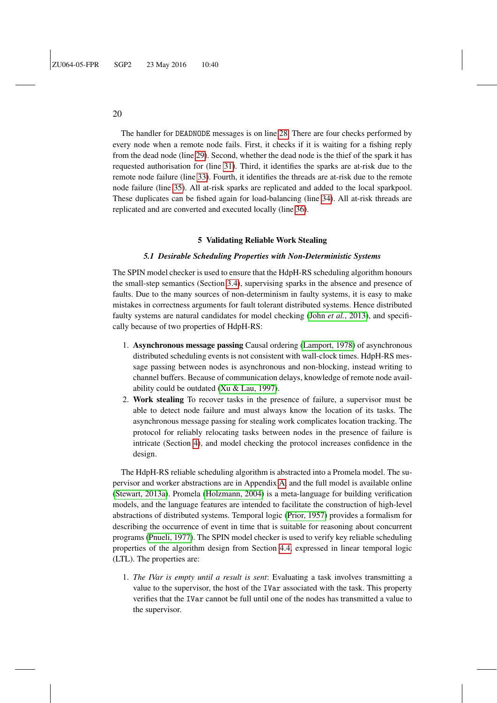The handler for DEADNODE messages is on line [28.](#page-18-0) There are four checks performed by every node when a remote node fails. First, it checks if it is waiting for a fishing reply from the dead node (line [29\)](#page-18-0). Second, whether the dead node is the thief of the spark it has requested authorisation for (line [31\)](#page-18-0). Third, it identifies the sparks are at-risk due to the remote node failure (line [33\)](#page-18-0). Fourth, it identifies the threads are at-risk due to the remote node failure (line [35\)](#page-18-0). All at-risk sparks are replicated and added to the local sparkpool. These duplicates can be fished again for load-balancing (line [34\)](#page-18-0). All at-risk threads are replicated and are converted and executed locally (line [36\)](#page-18-0).

#### 5 Validating Reliable Work Stealing

#### *5.1 Desirable Scheduling Properties with Non-Deterministic Systems*

<span id="page-20-0"></span>The SPIN model checker is used to ensure that the HdpH-RS scheduling algorithm honours the small-step semantics (Section [3.4\)](#page-9-0), supervising sparks in the absence and presence of faults. Due to the many sources of non-determinism in faulty systems, it is easy to make mistakes in correctness arguments for fault tolerant distributed systems. Hence distributed faulty systems are natural candidates for model checking (John *et al.*[, 2013\)](#page-36-12), and specifically because of two properties of HdpH-RS:

- 1. Asynchronous message passing Causal ordering [\(Lamport, 1978\)](#page-36-13) of asynchronous distributed scheduling events is not consistent with wall-clock times. HdpH-RS message passing between nodes is asynchronous and non-blocking, instead writing to channel buffers. Because of communication delays, knowledge of remote node availability could be outdated [\(Xu & Lau, 1997\)](#page-38-3).
- 2. Work stealing To recover tasks in the presence of failure, a supervisor must be able to detect node failure and must always know the location of its tasks. The asynchronous message passing for stealing work complicates location tracking. The protocol for reliably relocating tasks between nodes in the presence of failure is intricate (Section [4\)](#page-15-0), and model checking the protocol increases confidence in the design.

The HdpH-RS reliable scheduling algorithm is abstracted into a Promela model. The supervisor and worker abstractions are in Appendix [A,](#page-1-0) and the full model is available online [\(Stewart, 2013a\)](#page-37-12). Promela [\(Holzmann, 2004\)](#page-36-4) is a meta-language for building verification models, and the language features are intended to facilitate the construction of high-level abstractions of distributed systems. Temporal logic [\(Prior, 1957\)](#page-37-13) provides a formalism for describing the occurrence of event in time that is suitable for reasoning about concurrent programs [\(Pnueli, 1977\)](#page-37-14). The SPIN model checker is used to verify key reliable scheduling properties of the algorithm design from Section [4.4,](#page-18-0) expressed in linear temporal logic (LTL). The properties are:

1. *The IVar is empty until a result is sent*: Evaluating a task involves transmitting a value to the supervisor, the host of the IVar associated with the task. This property verifies that the IVar cannot be full until one of the nodes has transmitted a value to the supervisor.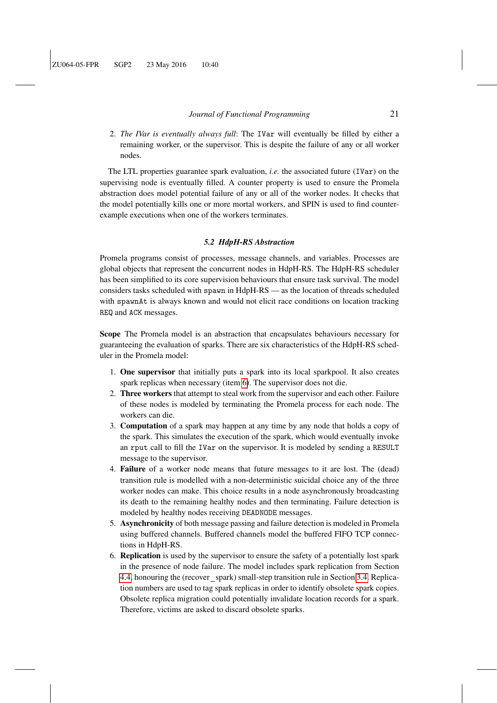2. *The IVar is eventually always full*: The IVar will eventually be filled by either a remaining worker, or the supervisor. This is despite the failure of any or all worker nodes.

The LTL properties guarantee spark evaluation, *i.e.* the associated future (IVar) on the supervising node is eventually filled. A counter property is used to ensure the Promela abstraction does model potential failure of any or all of the worker nodes. It checks that the model potentially kills one or more mortal workers, and SPIN is used to find counterexample executions when one of the workers terminates.

#### *5.2 HdpH-RS Abstraction*

Promela programs consist of processes, message channels, and variables. Processes are global objects that represent the concurrent nodes in HdpH-RS. The HdpH-RS scheduler has been simplified to its core supervision behaviours that ensure task survival. The model considers tasks scheduled with spawn in HdpH-RS — as the location of threads scheduled with spawnAt is always known and would not elicit race conditions on location tracking REQ and ACK messages.

Scope The Promela model is an abstraction that encapsulates behaviours necessary for guaranteeing the evaluation of sparks. There are six characteristics of the HdpH-RS scheduler in the Promela model:

- 1. One supervisor that initially puts a spark into its local sparkpool. It also creates spark replicas when necessary (item [6\)](#page-21-0). The supervisor does not die.
- 2. Three workers that attempt to steal work from the supervisor and each other. Failure of these nodes is modeled by terminating the Promela process for each node. The workers can die.
- 3. Computation of a spark may happen at any time by any node that holds a copy of the spark. This simulates the execution of the spark, which would eventually invoke an rput call to fill the IVar on the supervisor. It is modeled by sending a RESULT message to the supervisor.
- 4. Failure of a worker node means that future messages to it are lost. The (dead) transition rule is modelled with a non-deterministic suicidal choice any of the three worker nodes can make. This choice results in a node asynchronously broadcasting its death to the remaining healthy nodes and then terminating. Failure detection is modeled by healthy nodes receiving DEADNODE messages.
- 5. Asynchronicity of both message passing and failure detection is modeled in Promela using buffered channels. Buffered channels model the buffered FIFO TCP connections in HdpH-RS.
- <span id="page-21-0"></span>6. Replication is used by the supervisor to ensure the safety of a potentially lost spark in the presence of node failure. The model includes spark replication from Section [4.4,](#page-18-0) honouring the (recover spark) small-step transition rule in Section [3.4.](#page-9-0) Replication numbers are used to tag spark replicas in order to identify obsolete spark copies. Obsolete replica migration could potentially invalidate location records for a spark. Therefore, victims are asked to discard obsolete sparks.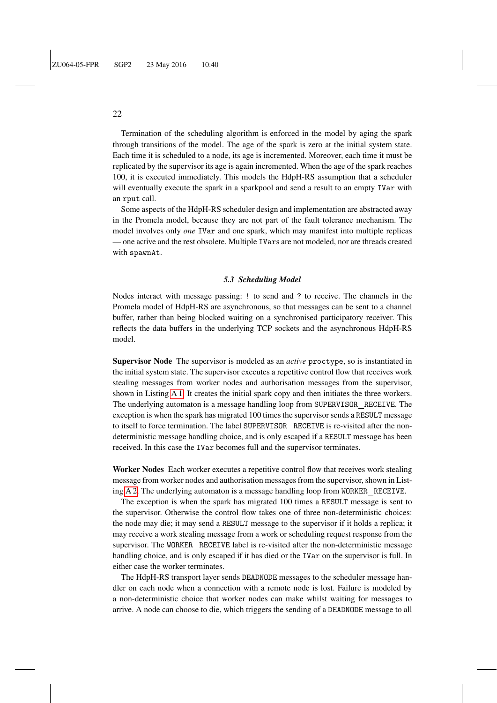Termination of the scheduling algorithm is enforced in the model by aging the spark through transitions of the model. The age of the spark is zero at the initial system state. Each time it is scheduled to a node, its age is incremented. Moreover, each time it must be replicated by the supervisor its age is again incremented. When the age of the spark reaches 100, it is executed immediately. This models the HdpH-RS assumption that a scheduler will eventually execute the spark in a sparkpool and send a result to an empty IVar with an rput call.

Some aspects of the HdpH-RS scheduler design and implementation are abstracted away in the Promela model, because they are not part of the fault tolerance mechanism. The model involves only *one* IVar and one spark, which may manifest into multiple replicas — one active and the rest obsolete. Multiple IVars are not modeled, nor are threads created with spawnAt.

## *5.3 Scheduling Model*

Nodes interact with message passing: ! to send and ? to receive. The channels in the Promela model of HdpH-RS are asynchronous, so that messages can be sent to a channel buffer, rather than being blocked waiting on a synchronised participatory receiver. This reflects the data buffers in the underlying TCP sockets and the asynchronous HdpH-RS model.

Supervisor Node The supervisor is modeled as an *active* proctype, so is instantiated in the initial system state. The supervisor executes a repetitive control flow that receives work stealing messages from worker nodes and authorisation messages from the supervisor, shown in Listing [A 1.](#page-39-0) It creates the initial spark copy and then initiates the three workers. The underlying automaton is a message handling loop from SUPERVISOR RECEIVE. The exception is when the spark has migrated 100 times the supervisor sends a RESULT message to itself to force termination. The label SUPERVISOR RECEIVE is re-visited after the nondeterministic message handling choice, and is only escaped if a RESULT message has been received. In this case the IVar becomes full and the supervisor terminates.

Worker Nodes Each worker executes a repetitive control flow that receives work stealing message from worker nodes and authorisation messages from the supervisor, shown in Listing [A 2.](#page-40-0) The underlying automaton is a message handling loop from WORKER RECEIVE.

The exception is when the spark has migrated 100 times a RESULT message is sent to the supervisor. Otherwise the control flow takes one of three non-deterministic choices: the node may die; it may send a RESULT message to the supervisor if it holds a replica; it may receive a work stealing message from a work or scheduling request response from the supervisor. The WORKER RECEIVE label is re-visited after the non-deterministic message handling choice, and is only escaped if it has died or the IVar on the supervisor is full. In either case the worker terminates.

The HdpH-RS transport layer sends DEADNODE messages to the scheduler message handler on each node when a connection with a remote node is lost. Failure is modeled by a non-deterministic choice that worker nodes can make whilst waiting for messages to arrive. A node can choose to die, which triggers the sending of a DEADNODE message to all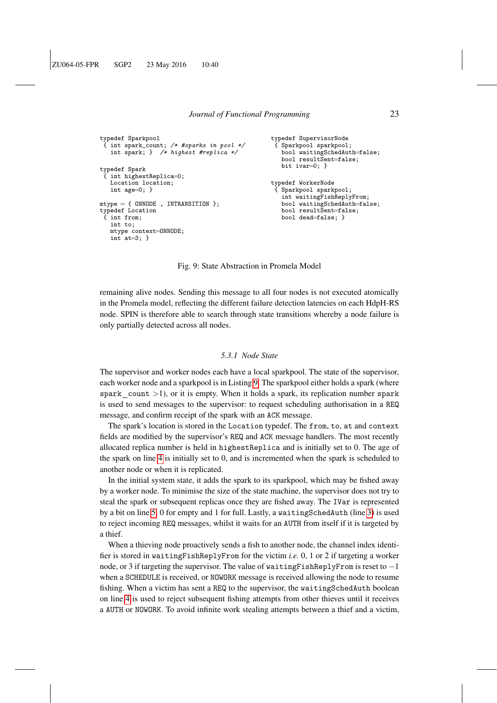```
typedef Sparkpool
 { int spark_count; /* #sparks in pool */
   int spark; } /* highest #replica */
typedef Spark
 { int highestReplica=0;
   Location location;
   int age=0; }
mtype = { ONNODE, INTRANSITION };typedef Location
 { int from;
   int to;
  mtype context=ONNODE;
  int at=3; }
                                                  typedef SupervisorNode
                                                   { Sparkpool sparkpool;
                                                    bool waitingSchedAuth=false;
                                                     bool resultSent=false;
                                                    bit ivar=0; }
                                                  typedef WorkerNode
                                                   { Sparkpool sparkpool;
                                                     int waitingFishReplyFrom;
                                                     bool waitingSchedAuth=false;
                                                     bool resultSent=false;
                                                    bool dead=false; }
```
<span id="page-23-4"></span><span id="page-23-3"></span><span id="page-23-2"></span>Fig. 9: State Abstraction in Promela Model

remaining alive nodes. Sending this message to all four nodes is not executed atomically in the Promela model, reflecting the different failure detection latencies on each HdpH-RS node. SPIN is therefore able to search through state transitions whereby a node failure is only partially detected across all nodes.

#### *5.3.1 Node State*

The supervisor and worker nodes each have a local sparkpool. The state of the supervisor, each worker node and a sparkpool is in Listing [9.](#page-23-0) The sparkpool either holds a spark (where spark count  $>1$ ), or it is empty. When it holds a spark, its replication number spark is used to send messages to the supervisor: to request scheduling authorisation in a REQ message, and confirm receipt of the spark with an ACK message.

The spark's location is stored in the Location typedef. The from, to, at and context fields are modified by the supervisor's REQ and ACK message handlers. The most recently allocated replica number is held in highestReplica and is initially set to 0. The age of the spark on line [4](#page-23-1) is initially set to 0, and is incremented when the spark is scheduled to another node or when it is replicated.

In the initial system state, it adds the spark to its sparkpool, which may be fished away by a worker node. To minimise the size of the state machine, the supervisor does not try to steal the spark or subsequent replicas once they are fished away. The IVar is represented by a bit on line [5,](#page-23-2) 0 for empty and 1 for full. Lastly, a waitingSchedAuth (line [3\)](#page-23-3) is used to reject incoming REQ messages, whilst it waits for an AUTH from itself if it is targeted by a thief.

When a thieving node proactively sends a fish to another node, the channel index identifier is stored in waitingFishReplyFrom for the victim *i.e.* 0, 1 or 2 if targeting a worker node, or 3 if targeting the supervisor. The value of waitingFishReplyFrom is reset to  $-1$ when a SCHEDULE is received, or NOWORK message is received allowing the node to resume fishing. When a victim has sent a REQ to the supervisor, the waitingSchedAuth boolean on line [4](#page-23-4) is used to reject subsequent fishing attempts from other thieves until it receives a AUTH or NOWORK. To avoid infinite work stealing attempts between a thief and a victim,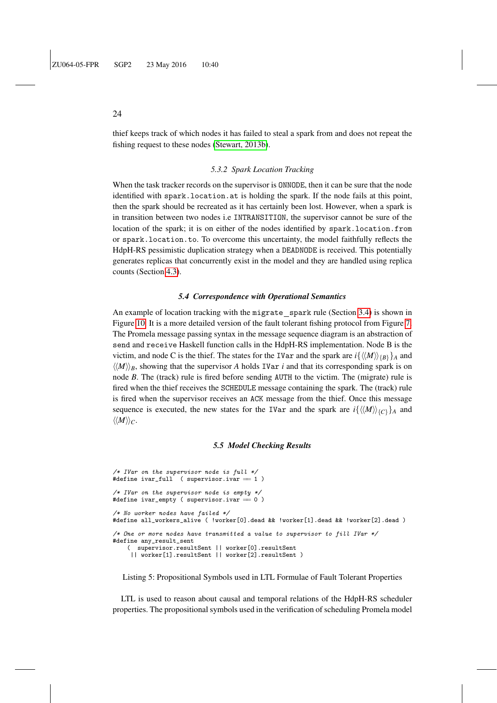thief keeps track of which nodes it has failed to steal a spark from and does not repeat the fishing request to these nodes [\(Stewart, 2013b\)](#page-37-10).

#### *5.3.2 Spark Location Tracking*

When the task tracker records on the supervisor is ONNODE, then it can be sure that the node identified with spark.location.at is holding the spark. If the node fails at this point, then the spark should be recreated as it has certainly been lost. However, when a spark is in transition between two nodes i.e INTRANSITION, the supervisor cannot be sure of the location of the spark; it is on either of the nodes identified by spark.location.from or spark.location.to. To overcome this uncertainty, the model faithfully reflects the HdpH-RS pessimistic duplication strategy when a DEADNODE is received. This potentially generates replicas that concurrently exist in the model and they are handled using replica counts (Section [4.3\)](#page-17-2).

#### *5.4 Correspondence with Operational Semantics*

<span id="page-24-0"></span>An example of location tracking with the migrate\_spark rule (Section [3.4\)](#page-9-0) is shown in Figure [10.](#page-25-0) It is a more detailed version of the fault tolerant fishing protocol from Figure [7.](#page-17-0) The Promela message passing syntax in the message sequence diagram is an abstraction of send and receive Haskell function calls in the HdpH-RS implementation. Node B is the victim, and node C is the thief. The states for the IVar and the spark are  $i\{\langle\langle M\rangle\rangle_{\{B\}}\}_A$  and  $\langle\langle M \rangle\rangle_B$ , showing that the supervisor *A* holds IVar *i* and that its corresponding spark is on node *B*. The (track) rule is fired before sending AUTH to the victim. The (migrate) rule is fired when the thief receives the SCHEDULE message containing the spark. The (track) rule is fired when the supervisor receives an ACK message from the thief. Once this message sequence is executed, the new states for the IVar and the spark are  $i\{\langle\langle M\rangle\rangle_{\{C\}}\}$ *A* and  $\langle\langle M \rangle\rangle_C$ .

# *5.5 Model Checking Results*

```
/* IVar on the supervisor node is full */
#define ivar_full ( supervisor.ivar == 1)
/* IVar on the supervisor node is empty */
#define ivar_empty ( supervisor.ivar = 0 )
/* No worker nodes have failed */
#define all_workers_alive ( !worker[0].dead && !worker[1].dead && !worker[2].dead )
/* One or more nodes have transmitted a value to supervisor to fill IVar */
#define any_result_sent
      supervisor.resultSent || worker[0].resultSent
     || worker[1].resultSent || worker[2].resultSent )
```
Listing 5: Propositional Symbols used in LTL Formulae of Fault Tolerant Properties

LTL is used to reason about causal and temporal relations of the HdpH-RS scheduler properties. The propositional symbols used in the verification of scheduling Promela model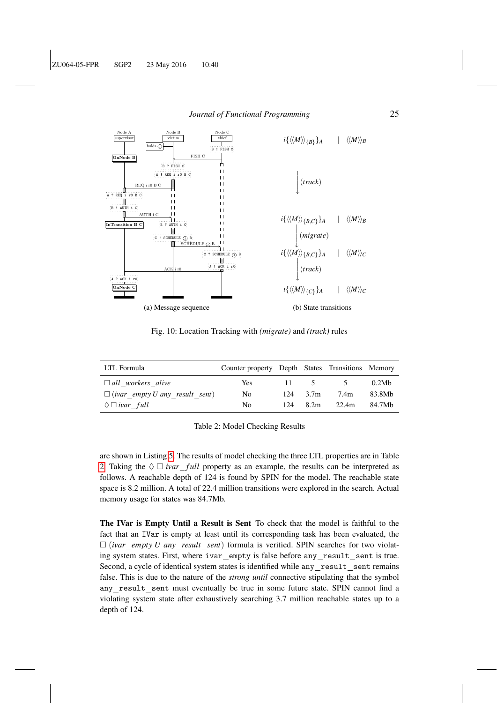<span id="page-25-0"></span>

Fig. 10: Location Tracking with *(migrate)* and *(track)* rules

<span id="page-25-1"></span>

| LTL Formula                           | Counter property Depth States Transitions Memory |     |                |       |        |
|---------------------------------------|--------------------------------------------------|-----|----------------|-------|--------|
| $\Box$ all workers alive              | Yes                                              |     | $\frac{11}{5}$ |       | 0.2Mh  |
| $\Box$ (ivar_empty U any_result_sent) | No                                               | 124 | 3.7m           | 7.4m  | 83.8Mb |
| $\Diamond \Box$ <i>ivar</i> full      | No.                                              | 124 | 8.2m           | 22.4m | 84.7Mb |

Table 2: Model Checking Results

are shown in Listing [5.](#page-24-1) The results of model checking the three LTL properties are in Table [2.](#page-25-1) Taking the  $\Diamond \Box$  *ivar full* property as an example, the results can be interpreted as follows. A reachable depth of 124 is found by SPIN for the model. The reachable state space is 8.2 million. A total of 22.4 million transitions were explored in the search. Actual memory usage for states was 84.7Mb.

The IVar is Empty Until a Result is Sent To check that the model is faithful to the fact that an IVar is empty at least until its corresponding task has been evaluated, the  $\Box$  (*ivar empty U any result sent*) formula is verified. SPIN searches for two violating system states. First, where ivar empty is false before any result sent is true. Second, a cycle of identical system states is identified while any result sent remains false. This is due to the nature of the *strong until* connective stipulating that the symbol any result sent must eventually be true in some future state. SPIN cannot find a violating system state after exhaustively searching 3.7 million reachable states up to a depth of 124.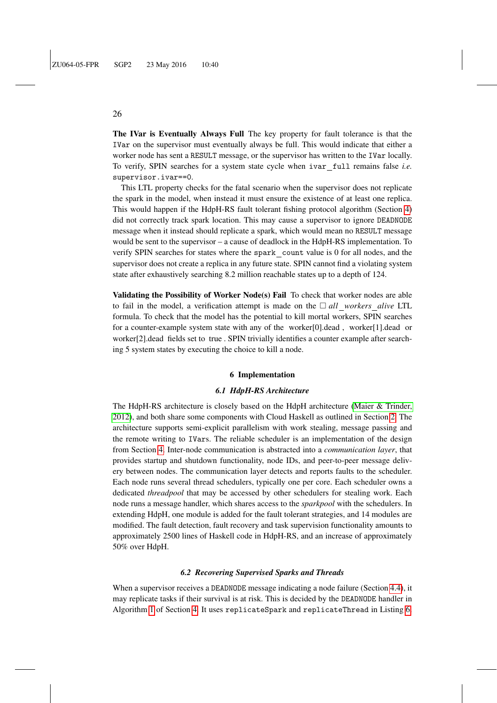The IVar is Eventually Always Full The key property for fault tolerance is that the IVar on the supervisor must eventually always be full. This would indicate that either a worker node has sent a RESULT message, or the supervisor has written to the IVar locally. To verify, SPIN searches for a system state cycle when ivar full remains false *i.e.* supervisor.ivar==0.

This LTL property checks for the fatal scenario when the supervisor does not replicate the spark in the model, when instead it must ensure the existence of at least one replica. This would happen if the HdpH-RS fault tolerant fishing protocol algorithm (Section [4\)](#page-15-0) did not correctly track spark location. This may cause a supervisor to ignore DEADNODE message when it instead should replicate a spark, which would mean no RESULT message would be sent to the supervisor – a cause of deadlock in the HdpH-RS implementation. To verify SPIN searches for states where the spark count value is 0 for all nodes, and the supervisor does not create a replica in any future state. SPIN cannot find a violating system state after exhaustively searching 8.2 million reachable states up to a depth of 124.

Validating the Possibility of Worker Node(s) Fail To check that worker nodes are able to fail in the model, a verification attempt is made on the  $\Box$  *all workers alive* LTL formula. To check that the model has the potential to kill mortal workers, SPIN searches for a counter-example system state with any of the worker[0].dead , worker[1].dead or worker[2].dead fields set to true . SPIN trivially identifies a counter example after searching 5 system states by executing the choice to kill a node.

# 6 Implementation

### *6.1 HdpH-RS Architecture*

<span id="page-26-0"></span>The HdpH-RS architecture is closely based on the HdpH architecture [\(Maier & Trinder,](#page-36-14) [2012\)](#page-36-14), and both share some components with Cloud Haskell as outlined in Section [2.](#page-3-0) The architecture supports semi-explicit parallelism with work stealing, message passing and the remote writing to IVars. The reliable scheduler is an implementation of the design from Section [4.](#page-15-0) Inter-node communication is abstracted into a *communication layer*, that provides startup and shutdown functionality, node IDs, and peer-to-peer message delivery between nodes. The communication layer detects and reports faults to the scheduler. Each node runs several thread schedulers, typically one per core. Each scheduler owns a dedicated *threadpool* that may be accessed by other schedulers for stealing work. Each node runs a message handler, which shares access to the *sparkpool* with the schedulers. In extending HdpH, one module is added for the fault tolerant strategies, and 14 modules are modified. The fault detection, fault recovery and task supervision functionality amounts to approximately 2500 lines of Haskell code in HdpH-RS, and an increase of approximately 50% over HdpH.

# *6.2 Recovering Supervised Sparks and Threads*

When a supervisor receives a DEADNODE message indicating a node failure (Section [4.4\)](#page-18-0), it may replicate tasks if their survival is at risk. This is decided by the DEADNODE handler in Algorithm [1](#page-19-0) of Section [4.](#page-15-0) It uses replicateSpark and replicateThread in Listing [6.](#page-27-0)

#### 26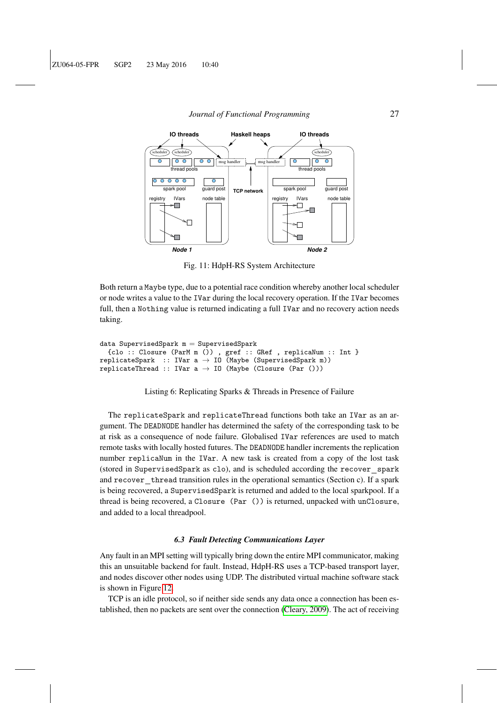

*Journal of Functional Programming* 27

Fig. 11: HdpH-RS System Architecture

Both return a Maybe type, due to a potential race condition whereby another local scheduler or node writes a value to the IVar during the local recovery operation. If the IVar becomes full, then a Nothing value is returned indicating a full IVar and no recovery action needs taking.

```
data SupervisedSpark m = SupervisedSpark
  {clo :: Closure (ParM m ()) , gref :: GRef , replicaNum :: Int }
replicateSpark :: IVar a \rightarrow I0 (Maybe (SupervisedSpark m))
replicateThread :: IVar a \rightarrow IO (Maybe (Closure (Par ()))
```
# Listing 6: Replicating Sparks & Threads in Presence of Failure

The replicateSpark and replicateThread functions both take an IVar as an argument. The DEADNODE handler has determined the safety of the corresponding task to be at risk as a consequence of node failure. Globalised IVar references are used to match remote tasks with locally hosted futures. The DEADNODE handler increments the replication number replicaNum in the IVar. A new task is created from a copy of the lost task (stored in SupervisedSpark as clo), and is scheduled according the recover spark and recover thread transition rules in the operational semantics (Section c). If a spark is being recovered, a SupervisedSpark is returned and added to the local sparkpool. If a thread is being recovered, a Closure (Par ()) is returned, unpacked with unClosure, and added to a local threadpool.

### *6.3 Fault Detecting Communications Layer*

Any fault in an MPI setting will typically bring down the entire MPI communicator, making this an unsuitable backend for fault. Instead, HdpH-RS uses a TCP-based transport layer, and nodes discover other nodes using UDP. The distributed virtual machine software stack is shown in Figure [12.](#page-28-0)

TCP is an idle protocol, so if neither side sends any data once a connection has been established, then no packets are sent over the connection [\(Cleary, 2009\)](#page-35-8). The act of receiving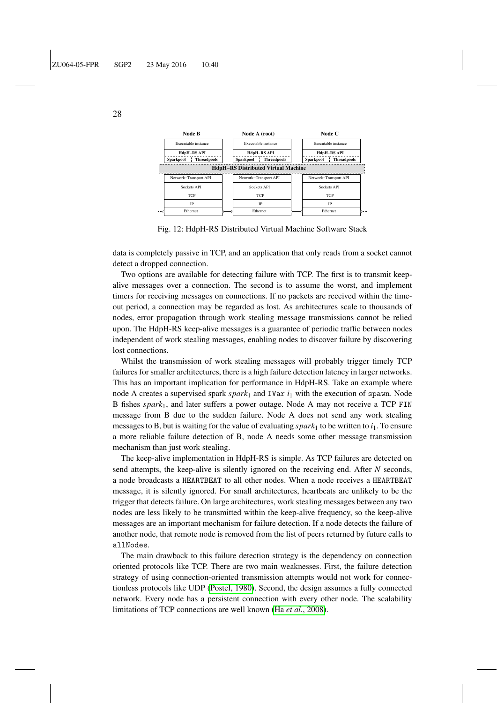

Fig. 12: HdpH-RS Distributed Virtual Machine Software Stack

data is completely passive in TCP, and an application that only reads from a socket cannot detect a dropped connection.

Two options are available for detecting failure with TCP. The first is to transmit keepalive messages over a connection. The second is to assume the worst, and implement timers for receiving messages on connections. If no packets are received within the timeout period, a connection may be regarded as lost. As architectures scale to thousands of nodes, error propagation through work stealing message transmissions cannot be relied upon. The HdpH-RS keep-alive messages is a guarantee of periodic traffic between nodes independent of work stealing messages, enabling nodes to discover failure by discovering lost connections.

Whilst the transmission of work stealing messages will probably trigger timely TCP failures for smaller architectures, there is a high failure detection latency in larger networks. This has an important implication for performance in HdpH-RS. Take an example where node A creates a supervised spark *spark*<sub>1</sub> and IVar  $i_1$  with the execution of spawn. Node B fishes *spark*1, and later suffers a power outage. Node A may not receive a TCP FIN message from B due to the sudden failure. Node A does not send any work stealing messages to B, but is waiting for the value of evaluating *spark*<sup>1</sup> to be written to *i*1. To ensure a more reliable failure detection of B, node A needs some other message transmission mechanism than just work stealing.

The keep-alive implementation in HdpH-RS is simple. As TCP failures are detected on send attempts, the keep-alive is silently ignored on the receiving end. After *N* seconds, a node broadcasts a HEARTBEAT to all other nodes. When a node receives a HEARTBEAT message, it is silently ignored. For small architectures, heartbeats are unlikely to be the trigger that detects failure. On large architectures, work stealing messages between any two nodes are less likely to be transmitted within the keep-alive frequency, so the keep-alive messages are an important mechanism for failure detection. If a node detects the failure of another node, that remote node is removed from the list of peers returned by future calls to allNodes.

The main drawback to this failure detection strategy is the dependency on connection oriented protocols like TCP. There are two main weaknesses. First, the failure detection strategy of using connection-oriented transmission attempts would not work for connectionless protocols like UDP [\(Postel, 1980\)](#page-37-15). Second, the design assumes a fully connected network. Every node has a persistent connection with every other node. The scalability limitations of TCP connections are well known (Ha *et al.*[, 2008\)](#page-36-15).

<span id="page-28-0"></span>28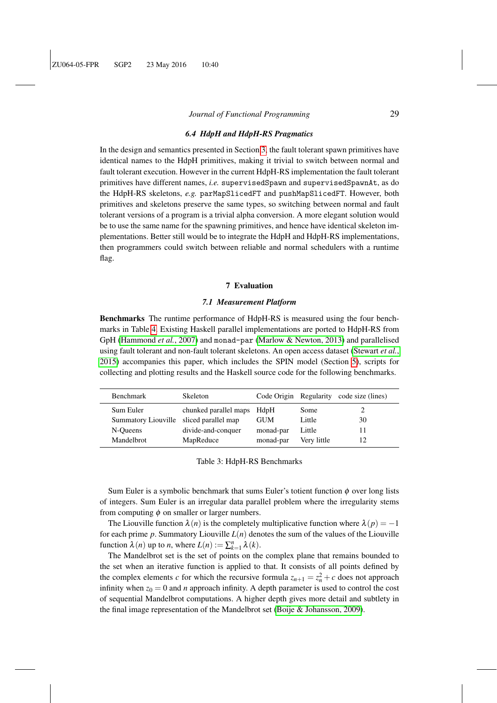# *6.4 HdpH and HdpH-RS Pragmatics*

<span id="page-29-0"></span>In the design and semantics presented in Section [3,](#page-6-0) the fault tolerant spawn primitives have identical names to the HdpH primitives, making it trivial to switch between normal and fault tolerant execution. However in the current HdpH-RS implementation the fault tolerant primitives have different names, *i.e.* supervisedSpawn and supervisedSpawnAt, as do the HdpH-RS skeletons, *e.g.* parMapSlicedFT and pushMapSlicedFT. However, both primitives and skeletons preserve the same types, so switching between normal and fault tolerant versions of a program is a trivial alpha conversion. A more elegant solution would be to use the same name for the spawning primitives, and hence have identical skeleton implementations. Better still would be to integrate the HdpH and HdpH-RS implementations, then programmers could switch between reliable and normal schedulers with a runtime flag.

#### 7 Evaluation

#### *7.1 Measurement Platform*

<span id="page-29-1"></span>Benchmarks The runtime performance of HdpH-RS is measured using the four benchmarks in Table [4.](#page-32-0) Existing Haskell parallel implementations are ported to HdpH-RS from GpH [\(Hammond](#page-36-16) *et al.*, 2007) and monad-par [\(Marlow & Newton, 2013\)](#page-37-16) and parallelised using fault tolerant and non-fault tolerant skeletons. An open access dataset [\(Stewart](#page-38-1) *et al.*, [2015\)](#page-38-1) accompanies this paper, which includes the SPIN model (Section [5\)](#page-20-0), scripts for collecting and plotting results and the Haskell source code for the following benchmarks.

| <b>Benchmark</b>    | <b>Skeleton</b>       |            |             | Code Origin Regularity code size (lines) |
|---------------------|-----------------------|------------|-------------|------------------------------------------|
| Sum Euler           | chunked parallel maps | HdpH       | Some        |                                          |
| Summatory Liouville | sliced parallel map   | <b>GUM</b> | Little      | 30                                       |
| N-Oueens            | divide-and-conquer    | monad-par  | Little      |                                          |
| <b>Mandelbrot</b>   | MapReduce             | monad-par  | Very little | 12                                       |

## Table 3: HdpH-RS Benchmarks

Sum Euler is a symbolic benchmark that sums Euler's totient function  $\phi$  over long lists of integers. Sum Euler is an irregular data parallel problem where the irregularity stems from computing  $\phi$  on smaller or larger numbers.

The Liouville function  $\lambda(n)$  is the completely multiplicative function where  $\lambda(p) = -1$ for each prime  $p$ . Summatory Liouville  $L(n)$  denotes the sum of the values of the Liouville function  $\lambda(n)$  up to *n*, where  $L(n) := \sum_{k=1}^{n} \lambda(k)$ .

The Mandelbrot set is the set of points on the complex plane that remains bounded to the set when an iterative function is applied to that. It consists of all points defined by the complex elements *c* for which the recursive formula  $z_{n+1} = z_n^2 + c$  does not approach infinity when  $z_0 = 0$  and *n* approach infinity. A depth parameter is used to control the cost of sequential Mandelbrot computations. A higher depth gives more detail and subtlety in the final image representation of the Mandelbrot set [\(Boije & Johansson, 2009\)](#page-35-9).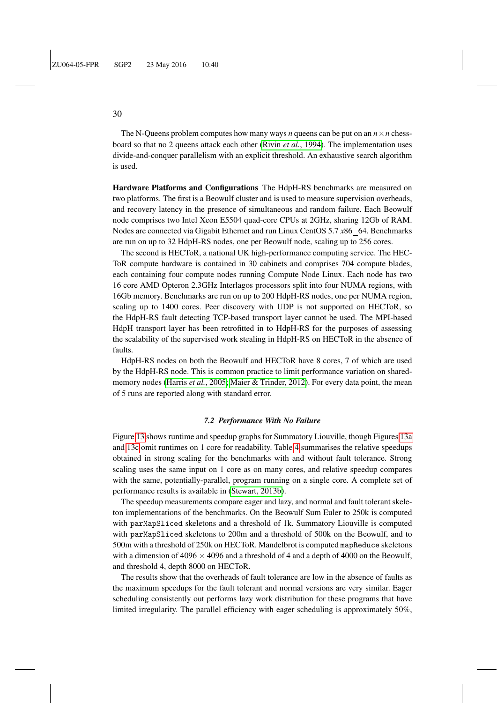The N-Queens problem computes how many ways *n* queens can be put on an  $n \times n$  chessboard so that no 2 queens attack each other (Rivin *et al.*[, 1994\)](#page-37-17). The implementation uses divide-and-conquer parallelism with an explicit threshold. An exhaustive search algorithm is used.

Hardware Platforms and Configurations The HdpH-RS benchmarks are measured on two platforms. The first is a Beowulf cluster and is used to measure supervision overheads, and recovery latency in the presence of simultaneous and random failure. Each Beowulf node comprises two Intel Xeon E5504 quad-core CPUs at 2GHz, sharing 12Gb of RAM. Nodes are connected via Gigabit Ethernet and run Linux CentOS 5.7 *x*86 64. Benchmarks are run on up to 32 HdpH-RS nodes, one per Beowulf node, scaling up to 256 cores.

The second is HECToR, a national UK high-performance computing service. The HEC-ToR compute hardware is contained in 30 cabinets and comprises 704 compute blades, each containing four compute nodes running Compute Node Linux. Each node has two 16 core AMD Opteron 2.3GHz Interlagos processors split into four NUMA regions, with 16Gb memory. Benchmarks are run on up to 200 HdpH-RS nodes, one per NUMA region, scaling up to 1400 cores. Peer discovery with UDP is not supported on HECToR, so the HdpH-RS fault detecting TCP-based transport layer cannot be used. The MPI-based HdpH transport layer has been retrofitted in to HdpH-RS for the purposes of assessing the scalability of the supervised work stealing in HdpH-RS on HECToR in the absence of faults.

HdpH-RS nodes on both the Beowulf and HECToR have 8 cores, 7 of which are used by the HdpH-RS node. This is common practice to limit performance variation on sharedmemory nodes [\(Harris](#page-36-17) *et al.*, 2005; [Maier & Trinder, 2012\)](#page-36-14). For every data point, the mean of 5 runs are reported along with standard error.

#### *7.2 Performance With No Failure*

Figure [13](#page-31-0) shows runtime and speedup graphs for Summatory Liouville, though Figures [13a](#page-31-0) and [13c](#page-31-0) omit runtimes on 1 core for readability. Table [4](#page-32-0) summarises the relative speedups obtained in strong scaling for the benchmarks with and without fault tolerance. Strong scaling uses the same input on 1 core as on many cores, and relative speedup compares with the same, potentially-parallel, program running on a single core. A complete set of performance results is available in [\(Stewart, 2013b\)](#page-37-10).

The speedup measurements compare eager and lazy, and normal and fault tolerant skeleton implementations of the benchmarks. On the Beowulf Sum Euler to 250k is computed with parMapSliced skeletons and a threshold of 1k. Summatory Liouville is computed with parMapSliced skeletons to 200m and a threshold of 500k on the Beowulf, and to 500m with a threshold of 250k on HECToR. Mandelbrot is computed mapReduce skeletons with a dimension of  $4096 \times 4096$  and a threshold of 4 and a depth of 4000 on the Beowulf, and threshold 4, depth 8000 on HECToR.

The results show that the overheads of fault tolerance are low in the absence of faults as the maximum speedups for the fault tolerant and normal versions are very similar. Eager scheduling consistently out performs lazy work distribution for these programs that have limited irregularity. The parallel efficiency with eager scheduling is approximately 50%,

#### 30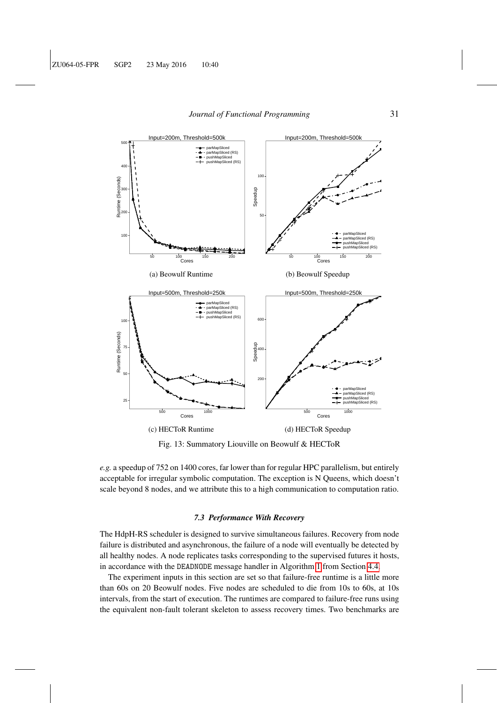<span id="page-31-0"></span>

Fig. 13: Summatory Liouville on Beowulf & HECToR

*e.g.* a speedup of 752 on 1400 cores, far lower than for regular HPC parallelism, but entirely acceptable for irregular symbolic computation. The exception is N Queens, which doesn't scale beyond 8 nodes, and we attribute this to a high communication to computation ratio.

# *7.3 Performance With Recovery*

The HdpH-RS scheduler is designed to survive simultaneous failures. Recovery from node failure is distributed and asynchronous, the failure of a node will eventually be detected by all healthy nodes. A node replicates tasks corresponding to the supervised futures it hosts, in accordance with the DEADNODE message handler in Algorithm [1](#page-19-0) from Section [4.4.](#page-18-0)

The experiment inputs in this section are set so that failure-free runtime is a little more than 60s on 20 Beowulf nodes. Five nodes are scheduled to die from 10s to 60s, at 10s intervals, from the start of execution. The runtimes are compared to failure-free runs using the equivalent non-fault tolerant skeleton to assess recovery times. Two benchmarks are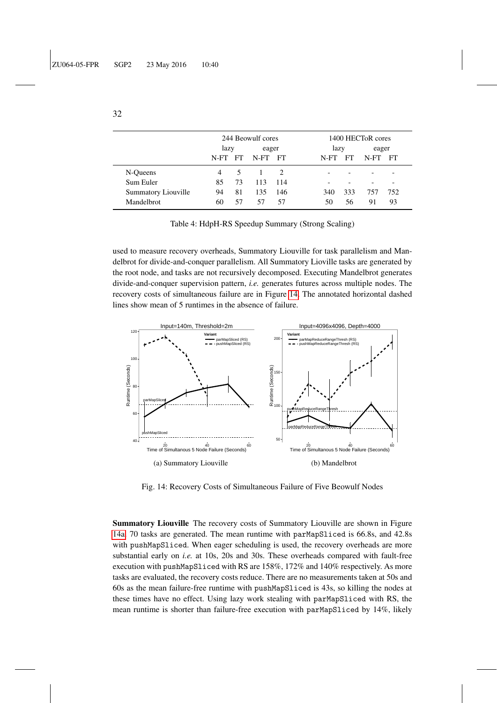<span id="page-32-0"></span>

|                     | 244 Beowulf cores |    |       |               | 1400 HECTOR cores |     |       |     |  |
|---------------------|-------------------|----|-------|---------------|-------------------|-----|-------|-----|--|
|                     | lazy              |    | eager |               | lazy              |     | eager |     |  |
|                     | N-FT              | FT | N-FT  | FT            | N-FT              | FT  | N-FT  | FT  |  |
| N-Queens            | 4                 |    |       | $\mathcal{L}$ |                   |     |       |     |  |
| Sum Euler           | 85                | 73 | 113   | 114           |                   |     |       | -   |  |
| Summatory Liouville | 94                | 81 | 135   | 146           | 340               | 333 | 757   | 752 |  |
| Mandelbrot          | 60                | 57 | 57    | 57            | 50                | 56  | 91    | 93  |  |

| i<br>۰       |  |
|--------------|--|
| ۰.<br>٠<br>× |  |

Table 4: HdpH-RS Speedup Summary (Strong Scaling)

used to measure recovery overheads, Summatory Liouville for task parallelism and Mandelbrot for divide-and-conquer parallelism. All Summatory Lioville tasks are generated by the root node, and tasks are not recursively decomposed. Executing Mandelbrot generates divide-and-conquer supervision pattern, *i.e.* generates futures across multiple nodes. The recovery costs of simultaneous failure are in Figure [14.](#page-32-1) The annotated horizontal dashed lines show mean of 5 runtimes in the absence of failure.

<span id="page-32-1"></span>

Fig. 14: Recovery Costs of Simultaneous Failure of Five Beowulf Nodes

Summatory Liouville The recovery costs of Summatory Liouville are shown in Figure [14a.](#page-32-1) 70 tasks are generated. The mean runtime with parMapSliced is 66.8s, and 42.8s with pushMapSliced. When eager scheduling is used, the recovery overheads are more substantial early on *i.e.* at 10s, 20s and 30s. These overheads compared with fault-free execution with pushMapSliced with RS are 158%, 172% and 140% respectively. As more tasks are evaluated, the recovery costs reduce. There are no measurements taken at 50s and 60s as the mean failure-free runtime with pushMapSliced is 43s, so killing the nodes at these times have no effect. Using lazy work stealing with parMapSliced with RS, the mean runtime is shorter than failure-free execution with parMapSliced by 14%, likely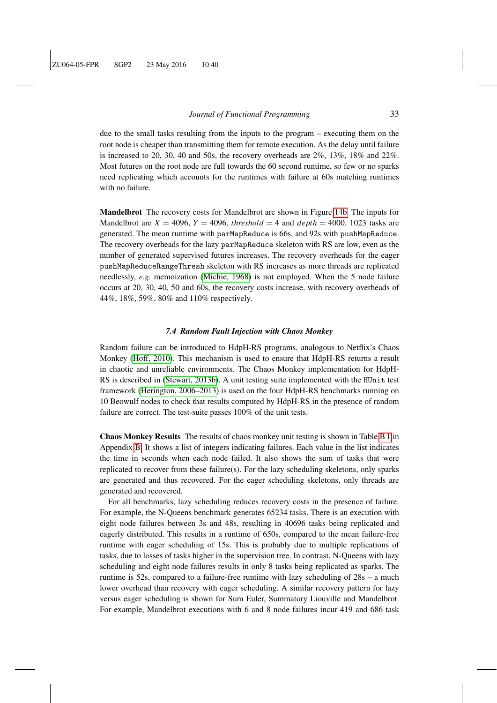due to the small tasks resulting from the inputs to the program – executing them on the root node is cheaper than transmitting them for remote execution. As the delay until failure is increased to 20, 30, 40 and 50s, the recovery overheads are 2%, 13%, 18% and 22%. Most futures on the root node are full towards the 60 second runtime, so few or no sparks need replicating which accounts for the runtimes with failure at 60s matching runtimes with no failure.

Mandelbrot The recovery costs for Mandelbrot are shown in Figure [14b.](#page-32-1) The inputs for Mandelbrot are  $X = 4096$ ,  $Y = 4096$ , *threshold* = 4 and *depth* = 4000. 1023 tasks are generated. The mean runtime with parMapReduce is 66s, and 92s with pushMapReduce. The recovery overheads for the lazy parMapReduce skeleton with RS are low, even as the number of generated supervised futures increases. The recovery overheads for the eager pushMapReduceRangeThresh skeleton with RS increases as more threads are replicated needlessly, *e.g.* memoization [\(Michie, 1968\)](#page-37-18) is not employed. When the 5 node failure occurs at 20, 30, 40, 50 and 60s, the recovery costs increase, with recovery overheads of 44%, 18%, 59%, 80% and 110% respectively.

#### *7.4 Random Fault Injection with Chaos Monkey*

Random failure can be introduced to HdpH-RS programs, analogous to Netflix's Chaos Monkey [\(Hoff, 2010\)](#page-36-6). This mechanism is used to ensure that HdpH-RS returns a result in chaotic and unreliable environments. The Chaos Monkey implementation for HdpH-RS is described in [\(Stewart, 2013b\)](#page-37-10). A unit testing suite implemented with the HUnit test framework [\(Herington, 2006–2013\)](#page-36-18) is used on the four HdpH-RS benchmarks running on 10 Beowulf nodes to check that results computed by HdpH-RS in the presence of random failure are correct. The test-suite passes 100% of the unit tests.

Chaos Monkey Results The results of chaos monkey unit testing is shown in Table [B 1](#page-41-0) in Appendix [B.](#page-3-0) It shows a list of integers indicating failures. Each value in the list indicates the time in seconds when each node failed. It also shows the sum of tasks that were replicated to recover from these failure(s). For the lazy scheduling skeletons, only sparks are generated and thus recovered. For the eager scheduling skeletons, only threads are generated and recovered.

For all benchmarks, lazy scheduling reduces recovery costs in the presence of failure. For example, the N-Queens benchmark generates 65234 tasks. There is an execution with eight node failures between 3s and 48s, resulting in 40696 tasks being replicated and eagerly distributed. This results in a runtime of 650s, compared to the mean failure-free runtime with eager scheduling of 15s. This is probably due to multiple replications of tasks, due to losses of tasks higher in the supervision tree. In contrast, N-Queens with lazy scheduling and eight node failures results in only 8 tasks being replicated as sparks. The runtime is 52s, compared to a failure-free runtime with lazy scheduling of  $28s - a$  much lower overhead than recovery with eager scheduling. A similar recovery pattern for lazy versus eager scheduling is shown for Sum Euler, Summatory Liouville and Mandelbrot. For example, Mandelbrot executions with 6 and 8 node failures incur 419 and 686 task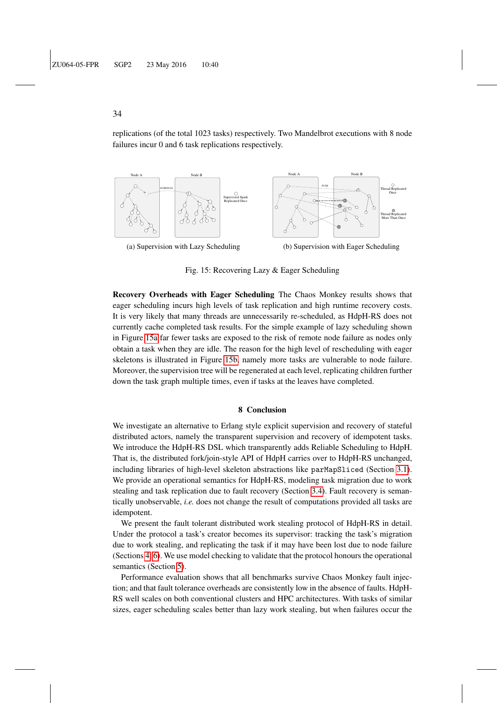replications (of the total 1023 tasks) respectively. Two Mandelbrot executions with 8 node failures incur 0 and 6 task replications respectively.

<span id="page-34-0"></span>

(a) Supervision with Lazy Scheduling

(b) Supervision with Eager Scheduling

Fig. 15: Recovering Lazy & Eager Scheduling

Recovery Overheads with Eager Scheduling The Chaos Monkey results shows that eager scheduling incurs high levels of task replication and high runtime recovery costs. It is very likely that many threads are unnecessarily re-scheduled, as HdpH-RS does not currently cache completed task results. For the simple example of lazy scheduling shown in Figure [15a](#page-34-0) far fewer tasks are exposed to the risk of remote node failure as nodes only obtain a task when they are idle. The reason for the high level of rescheduling with eager skeletons is illustrated in Figure [15b,](#page-34-0) namely more tasks are vulnerable to node failure. Moreover, the supervision tree will be regenerated at each level, replicating children further down the task graph multiple times, even if tasks at the leaves have completed.

# 8 Conclusion

We investigate an alternative to Erlang style explicit supervision and recovery of stateful distributed actors, namely the transparent supervision and recovery of idempotent tasks. We introduce the HdpH-RS DSL which transparently adds Reliable Scheduling to HdpH. That is, the distributed fork/join-style API of HdpH carries over to HdpH-RS unchanged, including libraries of high-level skeleton abstractions like parMapSliced (Section [3.1\)](#page-6-2). We provide an operational semantics for HdpH-RS, modeling task migration due to work stealing and task replication due to fault recovery (Section [3.4\)](#page-9-0). Fault recovery is semantically unobservable, *i.e.* does not change the result of computations provided all tasks are idempotent.

We present the fault tolerant distributed work stealing protocol of HdpH-RS in detail. Under the protocol a task's creator becomes its supervisor: tracking the task's migration due to work stealing, and replicating the task if it may have been lost due to node failure (Sections [4,](#page-15-0) [6\)](#page-26-0). We use model checking to validate that the protocol honours the operational semantics (Section [5\)](#page-20-0).

Performance evaluation shows that all benchmarks survive Chaos Monkey fault injection; and that fault tolerance overheads are consistently low in the absence of faults. HdpH-RS well scales on both conventional clusters and HPC architectures. With tasks of similar sizes, eager scheduling scales better than lazy work stealing, but when failures occur the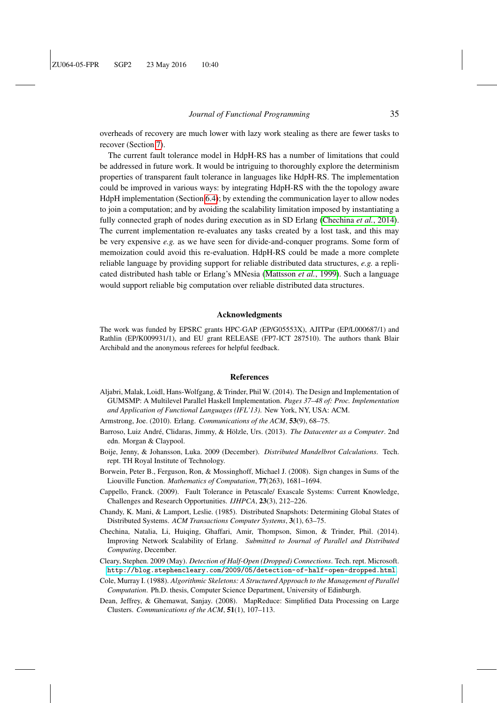overheads of recovery are much lower with lazy work stealing as there are fewer tasks to recover (Section [7\)](#page-29-1).

The current fault tolerance model in HdpH-RS has a number of limitations that could be addressed in future work. It would be intriguing to thoroughly explore the determinism properties of transparent fault tolerance in languages like HdpH-RS. The implementation could be improved in various ways: by integrating HdpH-RS with the the topology aware HdpH implementation (Section [6.4\)](#page-29-0); by extending the communication layer to allow nodes to join a computation; and by avoiding the scalability limitation imposed by instantiating a fully connected graph of nodes during execution as in SD Erlang [\(Chechina](#page-35-10) *et al.*, 2014). The current implementation re-evaluates any tasks created by a lost task, and this may be very expensive *e.g.* as we have seen for divide-and-conquer programs. Some form of memoization could avoid this re-evaluation. HdpH-RS could be made a more complete reliable language by providing support for reliable distributed data structures, *e.g.* a replicated distributed hash table or Erlang's MNesia [\(Mattsson](#page-37-19) *et al.*, 1999). Such a language would support reliable big computation over reliable distributed data structures.

# Acknowledgments

The work was funded by EPSRC grants HPC-GAP (EP/G05553X), AJITPar (EP/L000687/1) and Rathlin (EP/K009931/1), and EU grant RELEASE (FP7-ICT 287510). The authors thank Blair Archibald and the anonymous referees for helpful feedback.

#### References

- <span id="page-35-3"></span>Aljabri, Malak, Loidl, Hans-Wolfgang, & Trinder, Phil W. (2014). The Design and Implementation of GUMSMP: A Multilevel Parallel Haskell Implementation. *Pages 37–48 of: Proc. Implementation and Application of Functional Languages (IFL'13)*. New York, NY, USA: ACM.
- <span id="page-35-4"></span>Armstrong, Joe. (2010). Erlang. *Communications of the ACM*, 53(9), 68–75.
- <span id="page-35-0"></span>Barroso, Luiz André, Clidaras, Jimmy, & Hölzle, Urs. (2013). The Datacenter as a Computer. 2nd edn. Morgan & Claypool.
- <span id="page-35-9"></span>Boije, Jenny, & Johansson, Luka. 2009 (December). *Distributed Mandelbrot Calculations*. Tech. rept. TH Royal Institute of Technology.
- <span id="page-35-6"></span>Borwein, Peter B., Ferguson, Ron, & Mossinghoff, Michael J. (2008). Sign changes in Sums of the Liouville Function. *Mathematics of Computation*, 77(263), 1681–1694.
- <span id="page-35-1"></span>Cappello, Franck. (2009). Fault Tolerance in Petascale/ Exascale Systems: Current Knowledge, Challenges and Research Opportunities. *IJHPCA*, 23(3), 212–226.
- <span id="page-35-5"></span>Chandy, K. Mani, & Lamport, Leslie. (1985). Distributed Snapshots: Determining Global States of Distributed Systems. *ACM Transactions Computer Systems*, 3(1), 63–75.
- <span id="page-35-10"></span>Chechina, Natalia, Li, Huiqing, Ghaffari, Amir, Thompson, Simon, & Trinder, Phil. (2014). Improving Network Scalability of Erlang. *Submitted to Journal of Parallel and Distributed Computing*, December.
- <span id="page-35-8"></span>Cleary, Stephen. 2009 (May). *Detection of Half-Open (Dropped) Connections*. Tech. rept. Microsoft. <http://blog.stephencleary.com/2009/05/detection-of-half-open-dropped.html>.
- <span id="page-35-7"></span>Cole, Murray I. (1988). *Algorithmic Skeletons: A Structured Approach to the Management of Parallel Computation*. Ph.D. thesis, Computer Science Department, University of Edinburgh.
- <span id="page-35-2"></span>Dean, Jeffrey, & Ghemawat, Sanjay. (2008). MapReduce: Simplified Data Processing on Large Clusters. *Communications of the ACM*, 51(1), 107–113.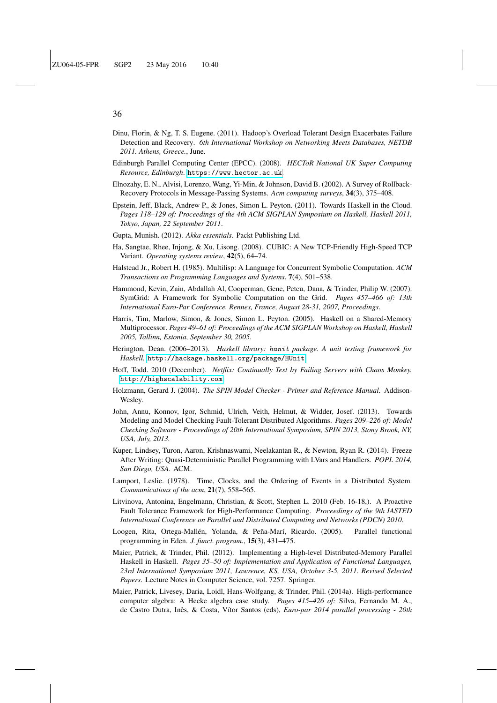## <span id="page-36-9"></span>Dinu, Florin, & Ng, T. S. Eugene. (2011). Hadoop's Overload Tolerant Design Exacerbates Failure Detection and Recovery. *6th International Workshop on Networking Meets Databases, NETDB 2011. Athens, Greece.*, June.

- <span id="page-36-5"></span>Edinburgh Parallel Computing Center (EPCC). (2008). *HECToR National UK Super Computing Resource, Edinburgh*. <https://www.hector.ac.uk>.
- <span id="page-36-7"></span>Elnozahy, E. N., Alvisi, Lorenzo, Wang, Yi-Min, & Johnson, David B. (2002). A Survey of Rollback-Recovery Protocols in Message-Passing Systems. *Acm computing surveys*, 34(3), 375–408.
- <span id="page-36-1"></span>Epstein, Jeff, Black, Andrew P., & Jones, Simon L. Peyton. (2011). Towards Haskell in the Cloud. *Pages 118–129 of: Proceedings of the 4th ACM SIGPLAN Symposium on Haskell, Haskell 2011, Tokyo, Japan, 22 September 2011*.
- <span id="page-36-2"></span>Gupta, Munish. (2012). *Akka essentials*. Packt Publishing Ltd.
- <span id="page-36-15"></span>Ha, Sangtae, Rhee, Injong, & Xu, Lisong. (2008). CUBIC: A New TCP-Friendly High-Speed TCP Variant. *Operating systems review*, 42(5), 64–74.
- <span id="page-36-10"></span>Halstead Jr., Robert H. (1985). Multilisp: A Language for Concurrent Symbolic Computation. *ACM Transactions on Programming Languages and Systems*, 7(4), 501–538.
- <span id="page-36-16"></span>Hammond, Kevin, Zain, Abdallah Al, Cooperman, Gene, Petcu, Dana, & Trinder, Philip W. (2007). SymGrid: A Framework for Symbolic Computation on the Grid. *Pages 457–466 of: 13th International Euro-Par Conference, Rennes, France, August 28-31, 2007, Proceedings*.
- <span id="page-36-17"></span>Harris, Tim, Marlow, Simon, & Jones, Simon L. Peyton. (2005). Haskell on a Shared-Memory Multiprocessor. *Pages 49–61 of: Proceedings of the ACM SIGPLAN Workshop on Haskell, Haskell 2005, Tallinn, Estonia, September 30, 2005*.
- <span id="page-36-18"></span>Herington, Dean. (2006–2013). *Haskell library:* hunit *package. A unit testing framework for Haskell.* <http://hackage.haskell.org/package/HUnit>.
- <span id="page-36-6"></span>Hoff, Todd. 2010 (December). *Netflix: Continually Test by Failing Servers with Chaos Monkey.* <http://highscalability.com>.
- <span id="page-36-4"></span>Holzmann, Gerard J. (2004). *The SPIN Model Checker - Primer and Reference Manual*. Addison-Wesley.
- <span id="page-36-12"></span>John, Annu, Konnov, Igor, Schmid, Ulrich, Veith, Helmut, & Widder, Josef. (2013). Towards Modeling and Model Checking Fault-Tolerant Distributed Algorithms. *Pages 209–226 of: Model Checking Software - Proceedings of 20th International Symposium, SPIN 2013, Stony Brook, NY, USA, July, 2013.*
- <span id="page-36-11"></span>Kuper, Lindsey, Turon, Aaron, Krishnaswami, Neelakantan R., & Newton, Ryan R. (2014). Freeze After Writing: Quasi-Deterministic Parallel Programming with LVars and Handlers. *POPL 2014, San Diego, USA*. ACM.
- <span id="page-36-13"></span>Lamport, Leslie. (1978). Time, Clocks, and the Ordering of Events in a Distributed System. *Communications of the acm*, 21(7), 558–565.
- <span id="page-36-8"></span>Litvinova, Antonina, Engelmann, Christian, & Scott, Stephen L. 2010 (Feb. 16-18,). A Proactive Fault Tolerance Framework for High-Performance Computing. *Proceedings of the 9th IASTED International Conference on Parallel and Distributed Computing and Networks (PDCN) 2010*.
- <span id="page-36-0"></span>Loogen, Rita, Ortega-Mallén, Yolanda, & Peña-Marí, Ricardo. (2005). Parallel functional programming in Eden. *J. funct. program.*, 15(3), 431–475.
- <span id="page-36-14"></span>Maier, Patrick, & Trinder, Phil. (2012). Implementing a High-level Distributed-Memory Parallel Haskell in Haskell. *Pages 35–50 of: Implementation and Application of Functional Languages, 23rd International Symposium 2011, Lawrence, KS, USA, October 3-5, 2011. Revised Selected Papers*. Lecture Notes in Computer Science, vol. 7257. Springer.
- <span id="page-36-3"></span>Maier, Patrick, Livesey, Daria, Loidl, Hans-Wolfgang, & Trinder, Phil. (2014a). High-performance computer algebra: A Hecke algebra case study. *Pages 415–426 of:* Silva, Fernando M. A., de Castro Dutra, Inês, & Costa, Vítor Santos (eds), *Euro-par 2014 parallel processing - 20th*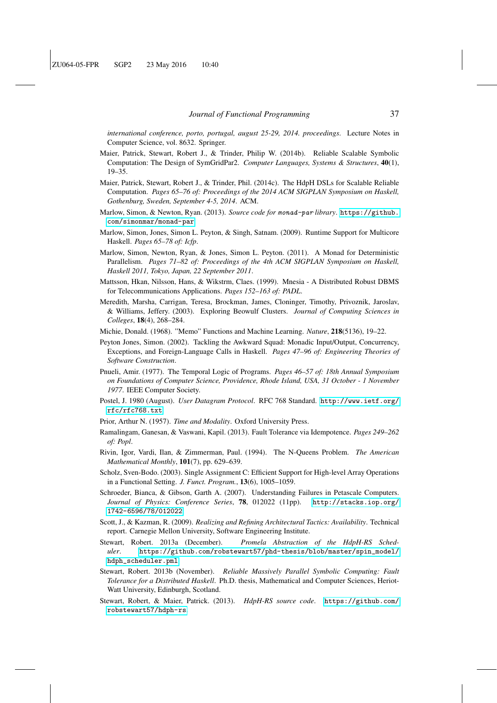*international conference, porto, portugal, august 25-29, 2014. proceedings*. Lecture Notes in Computer Science, vol. 8632. Springer.

- <span id="page-37-5"></span>Maier, Patrick, Stewart, Robert J., & Trinder, Philip W. (2014b). Reliable Scalable Symbolic Computation: The Design of SymGridPar2. *Computer Languages, Systems & Structures*, 40(1), 19–35.
- <span id="page-37-6"></span>Maier, Patrick, Stewart, Robert J., & Trinder, Phil. (2014c). The HdpH DSLs for Scalable Reliable Computation. *Pages 65–76 of: Proceedings of the 2014 ACM SIGPLAN Symposium on Haskell, Gothenburg, Sweden, September 4-5, 2014*. ACM.
- <span id="page-37-16"></span>Marlow, Simon, & Newton, Ryan. (2013). *Source code for* monad-par *library*. [https://github.](https://github.com/simonmar/monad-par) [com/simonmar/monad-par](https://github.com/simonmar/monad-par).
- <span id="page-37-0"></span>Marlow, Simon, Jones, Simon L. Peyton, & Singh, Satnam. (2009). Runtime Support for Multicore Haskell. *Pages 65–78 of: Icfp*.
- <span id="page-37-9"></span>Marlow, Simon, Newton, Ryan, & Jones, Simon L. Peyton. (2011). A Monad for Deterministic Parallelism. *Pages 71–82 of: Proceedings of the 4th ACM SIGPLAN Symposium on Haskell, Haskell 2011, Tokyo, Japan, 22 September 2011*.
- <span id="page-37-19"></span>Mattsson, Hkan, Nilsson, Hans, & Wikstrm, Claes. (1999). Mnesia - A Distributed Robust DBMS for Telecommunications Applications. *Pages 152–163 of: PADL*.
- <span id="page-37-4"></span>Meredith, Marsha, Carrigan, Teresa, Brockman, James, Cloninger, Timothy, Privoznik, Jaroslav, & Williams, Jeffery. (2003). Exploring Beowulf Clusters. *Journal of Computing Sciences in Colleges*, 18(4), 268–284.
- <span id="page-37-18"></span>Michie, Donald. (1968). "Memo" Functions and Machine Learning. *Nature*, 218(5136), 19–22.
- <span id="page-37-11"></span>Peyton Jones, Simon. (2002). Tackling the Awkward Squad: Monadic Input/Output, Concurrency, Exceptions, and Foreign-Language Calls in Haskell. *Pages 47–96 of: Engineering Theories of Software Construction*.
- <span id="page-37-14"></span>Pnueli, Amir. (1977). The Temporal Logic of Programs. *Pages 46–57 of: 18th Annual Symposium on Foundations of Computer Science, Providence, Rhode Island, USA, 31 October - 1 November 1977*. IEEE Computer Society.
- <span id="page-37-15"></span>Postel, J. 1980 (August). *User Datagram Protocol*. RFC 768 Standard. [http://www.ietf.org/](http://www.ietf.org/rfc/rfc768.txt) [rfc/rfc768.txt](http://www.ietf.org/rfc/rfc768.txt).
- <span id="page-37-13"></span>Prior, Arthur N. (1957). *Time and Modality*. Oxford University Press.
- <span id="page-37-2"></span>Ramalingam, Ganesan, & Vaswani, Kapil. (2013). Fault Tolerance via Idempotence. *Pages 249–262 of: Popl*.
- <span id="page-37-17"></span>Rivin, Igor, Vardi, Ilan, & Zimmerman, Paul. (1994). The N-Queens Problem. *The American Mathematical Monthly*, 101(7), pp. 629–639.
- <span id="page-37-1"></span>Scholz, Sven-Bodo. (2003). Single Assignment C: Efficient Support for High-level Array Operations in a Functional Setting. *J. Funct. Program.*, 13(6), 1005–1059.
- <span id="page-37-8"></span>Schroeder, Bianca, & Gibson, Garth A. (2007). Understanding Failures in Petascale Computers. *Journal of Physics: Conference Series*, 78, 012022 (11pp). [http://stacks.iop.org/](http://stacks.iop.org/1742-6596/78/012022) [1742-6596/78/012022](http://stacks.iop.org/1742-6596/78/012022).
- <span id="page-37-7"></span>Scott, J., & Kazman, R. (2009). *Realizing and Refining Architectural Tactics: Availability*. Technical report. Carnegie Mellon University, Software Engineering Institute.
- <span id="page-37-12"></span>Stewart, Robert. 2013a (December). *Promela Abstraction of the HdpH-RS Scheduler*. [https://github.com/robstewart57/phd-thesis/blob/master/spin\\_model/](https://github.com/robstewart57/phd-thesis/blob/master/spin_model/hdph_scheduler.pml) [hdph\\_scheduler.pml](https://github.com/robstewart57/phd-thesis/blob/master/spin_model/hdph_scheduler.pml).
- <span id="page-37-10"></span>Stewart, Robert. 2013b (November). *Reliable Massively Parallel Symbolic Computing: Fault Tolerance for a Distributed Haskell*. Ph.D. thesis, Mathematical and Computer Sciences, Heriot-Watt University, Edinburgh, Scotland.
- <span id="page-37-3"></span>Stewart, Robert, & Maier, Patrick. (2013). *HdpH-RS source code*. [https://github.com/](https://github.com/robstewart57/hdph-rs) [robstewart57/hdph-rs](https://github.com/robstewart57/hdph-rs).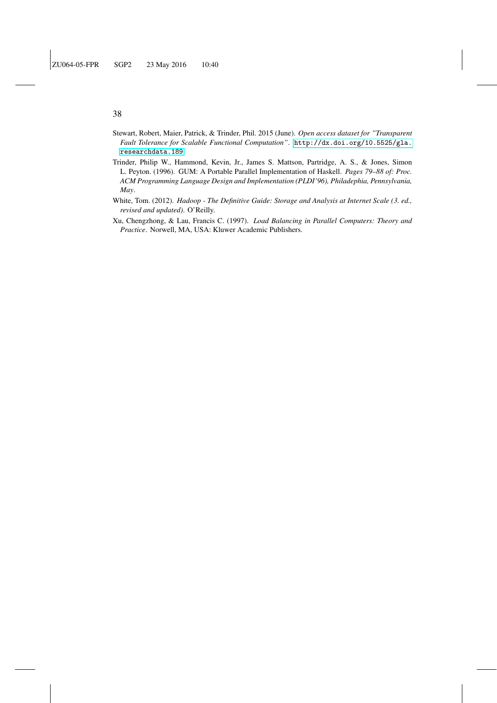- <span id="page-38-1"></span>Stewart, Robert, Maier, Patrick, & Trinder, Phil. 2015 (June). *Open access dataset for "Transparent Fault Tolerance for Scalable Functional Computation"*. [http://dx.doi.org/10.5525/gla.](http://dx.doi.org/10.5525/gla.researchdata.189) [researchdata.189](http://dx.doi.org/10.5525/gla.researchdata.189).
- <span id="page-38-2"></span>Trinder, Philip W., Hammond, Kevin, Jr., James S. Mattson, Partridge, A. S., & Jones, Simon L. Peyton. (1996). GUM: A Portable Parallel Implementation of Haskell. *Pages 79–88 of: Proc. ACM Programming Language Design and Implementation (PLDI'96), Philadephia, Pennsylvania, May*.
- <span id="page-38-0"></span>White, Tom. (2012). *Hadoop - The Definitive Guide: Storage and Analysis at Internet Scale (3. ed., revised and updated)*. O'Reilly.
- <span id="page-38-3"></span>Xu, Chengzhong, & Lau, Francis C. (1997). *Load Balancing in Parallel Computers: Theory and Practice*. Norwell, MA, USA: Kluwer Academic Publishers.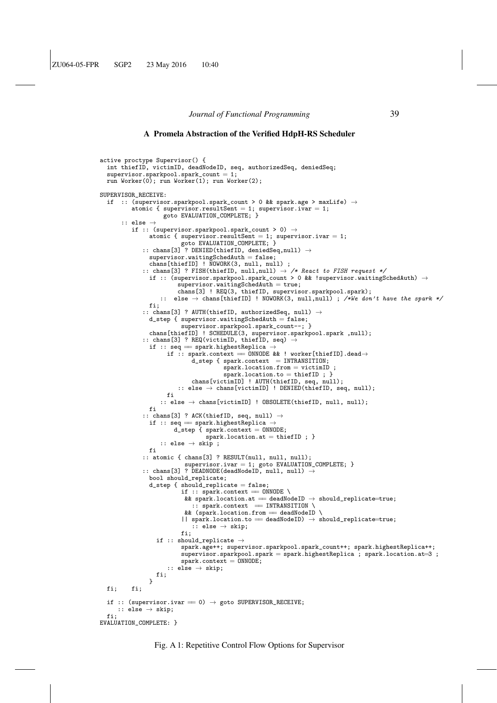#### A Promela Abstraction of the Verified HdpH-RS Scheduler

```
active proctype Supervisor() {
  int thiefID, victimID, deadNodeID, seq, authorizedSeq, deniedSeq;
  {\tt supervisor.sparkpool.spark\_count\, =\, 1};run Worker(0); run Worker(1); run Worker(2);
SUPERVISOR_RECEIVE:
  if :: (supervisor.sparkpool.spark_count > 0 && spark.age > maxLife) \rightarrowatomic { supervisor.resultSent = 1; supervisor.ivar = 1;
                     goto EVALUATION_COMPLETE; }
       :: else →
           if :: (supervisor.sparkpool.spark_count > 0) \rightarrowatomic { supervisor.resultSent = 1; supervisor.ivar = 1;
                            goto EVALUATION_COMPLETE; }
              :: chans[3] \tilde{?} DENIED(thiefID, deniedSeq,null) \rightarrowsupervisor.waitingSchedAuth = false;
                 chans[thiefID] ! NOWORK(3, null, null) ;
              :: chans[3] ? FISH(thiefID, null,null) \rightarrow /* React to FISH request */
                 \begin{minipage}[c]{0.9\linewidth} \textit{if} :: (\textit{supervised}.\textit{spark\_count} > 0 \textit{ \& } ! \textit{supervised}.\textit{width}) \rightarrow \end{minipage}{\tt supervisor.waitingSched} \label{def:subex} {\tt supervisor.waitingSched} \end{split}chans[3] ! REQ(3, thiefID, supervisor.sparkpool.spark);<br>:: else \rightarrow chans[thiefID] ! NOWORK(3, null,null) ; /*We don't have the spark */
                fi;
               :: chans[3] ? AUTH(thiefID, authorizedSeq, null) \rightarrowd_step { supervisor.waitingSchedAuth = false;
                            supervisor.sparkpool.spark_count--;
                 chans[thiefID] ! SCHEDULE(3, supervisor.sparkpool.spark ,null);
              :: chans[3] ? REQ(victimID, thiefID, seq) \rightarrowif :: seq = spark.highestReplicaif :: spark.context = \overline{ONNODE} && ! worker[thiefID].dead\rightarrowd<sub>step</sub> { spark.context = INTRANSITION;
                                           spark.location.from = victimID ;
                                           spark.location.to = thirdID ;chans[victimID] ! AUTH(thiefID, seq, null);
                           :: else \rightarrow chans[victimID] ! DENIED(thiefID, seq, null);
                       fi
                     :: else \rightarrow chans[victimID] ! OBSOLETE(thiefID, null, null);
                 fi
              :: chans[3] ? ACK(thiefID, seq, null) →
                 if :: seq = spark.highestReplica \rightarrowd\_step { spark.context = ONNODE;
                                    spark.location.at = theirID ;:: else \rightarrow skip;
                fi
               :: atomic { chans[3] ? RESULT(null, null, null);<br>supervisor.ivar = 1; goto EVALUATION_COMPLETE; }
               :: chans[3] ? DEADNODE(deadNodeID, null, null) \rightarrowbool should_replicate;
                 d_step { should_replicate = false;
                            if :: spark.context = 0NNODE \
                             && spark.location.at == deadNodeID \rightarrow should_replicate=true;
                                :: spark.context = INTRANSITION \
                             && (spark.location.from = deadNodeID \
                            || spark.location.to = deadNodeID) \rightarrow should_replicate=true;
                               \therefore else \rightarrow skip;
                            f<sub>i</sub>.
                   \begin{minipage}{.4\linewidth} \emph{if $\div$: should\_replicate $\rightarrow$} \end{minipage}spark.age++; supervisor.sparkpool.spark_count++; spark.highestReplica++;
                            supervisor.sparkpool.spark = spark.highestReplica ; spark.location.at=3 ;
                            \texttt{spark.context} = \texttt{ONNODE};:: else \rightarrow skip;
                   fi;
                 }
  fi; fi;
  if :: (supervisor.ivar = 0) \rightarrow goto SUPERVISOR_RECEIVE;
     :: else \rightarrow skip;
  fi;
EVALUATION_COMPLETE: }
```
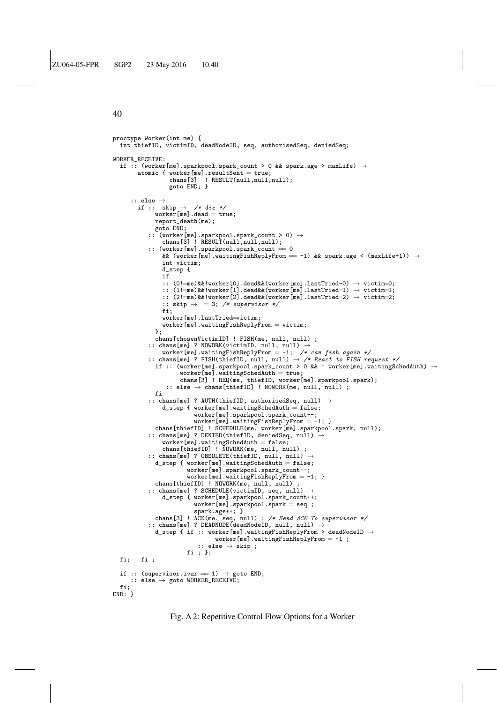```
proctype Worker(int me) {
  int thiefID, victimID, deadNodeID, seq, authorisedSeq, deniedSeq;
WORKER_RECEIVE:
  if :: (worker[me].sparkpool.spark_count > 0 && spark.age > maxLife) \rightarrowatomic { worker[me].resultSent = true;
                   chans[3] ! RESULT(null,null,null);
                   goto END; }
      :: else →
        if :: skip \rightarrow /* die */
              \overline{\text{worker}}[me].dead = true;
              report_death(me);
              goto END;
            :: (worker[me].sparkpool.spark_count > 0) \rightarrowchans[3] ! RESULT(null,null,null);
            :: (worker[me].sparkpool.spark_count = 0
                 && (worker[me].waitingFishReplyFrom == -1) && spark.age < (maxLife+1)) \rightarrowint victim;
                 d_step {
                 if
                 :: (0! = me) \& \& !worker[0].dead\& (\text{worker}[me].lastTried-0) \rightarrow victim=0;<br>:: (1! = me) \& \& !worker[1].dead\& \& \text{worker}[me].lastTried-1) \rightarrow victim=1;(1! = me)&&!worker[1].dead&&(worker[me].lastTried-1) \rightarrow victim=1;
                 :: (2! = me)&&!worker[2].dead&&(worker[me].lastTried-2) \rightarrow victim=2;
                 :: skip \rightarrow = 3; /* supervisor */
                 fi;
                 worker[me].lastTried=victim;
                 worker[me].waitingFishReplyFrom = victim;
              };
              chans[chosenVictimID] ! FISH(me, null, null) ;
            :: chans[me] ? NOWORK(victimID, null, null) \rightarrowworker[me].waitingFishReplyFrom = -1; /* can fish again */
            :: chans[me] ? FISH(thiefID, null, null) \rightarrow /* React to FISH request */
              if :: (worker[me].sparkpool.spark_count > 0 && ! worker[me].waitingSchedAuth) \rightarrowworker[me].waitingSchedAuth = true;
                  chans[3] ! REQ(me, thiefID, worker[me].sparkpool.spark);<br>:: else \rightarrow chans[thiefID] ! NOWORK(me, null, null) ;
              fi
            :: chans[me] ? AUTH(thiefID, authorisedSeq, null) \rightarrowd_step { worker[me].waitingSchedAuth = false;
                            worker[me].sparkpool.spark_count--;
                            worker[me].waitingFishReplyFrom = -1; }
            chans[thiefID] ! SCHEDULE(me, worker[me].sparkpool.spark, null);<br>:: chans[me] ? DENIED(thiefID, deniedSeq, null) \rightarrow\text{worker}[me].waitingSchedAuth = false;
                 chans[thiefID] ! NOWORK(me, null, null)
            :: chans[me] ? OBSOLETE(thiefID, null, null) \rightarrowd_{\text{step}} { worker[me].waitingSchedAuth = false;
                         worker[me].sparkpool.spark_count--;
                         worker[me].waitingFishReplyFrom = -1; }
              chans[thiefID] ! NOWORK(me, null, null)
            :: chans[me] ? SCHEDULE(victimID, seq, null) \rightarrowd_step { worker[me].sparkpool.spark_count++;
                            worker[me].sparkpool.spark = seq ;
                            spark.age++; }
            chans[3] ! ACK(me, seq, null) ; /* Send ACK To supervisor */<br>:: chans[me] ? DEADNODE(deadNodeID, null, null) \rightarrowd_step { if :: worker[me].waitingFishReplyFrom > deadNodeID \rightarrowworker[me].waitingFishReplyFrom = -1;
                             :: else \rightarrow skip;
                         fi ; };
  fi; fi ;
  if :: (supervisor.ivar == 1) \rightarrow goto END;:: else \rightarrow goto WORKER_RECEIVE;
  f:END·1
```
Fig. A 2: Repetitive Control Flow Options for a Worker